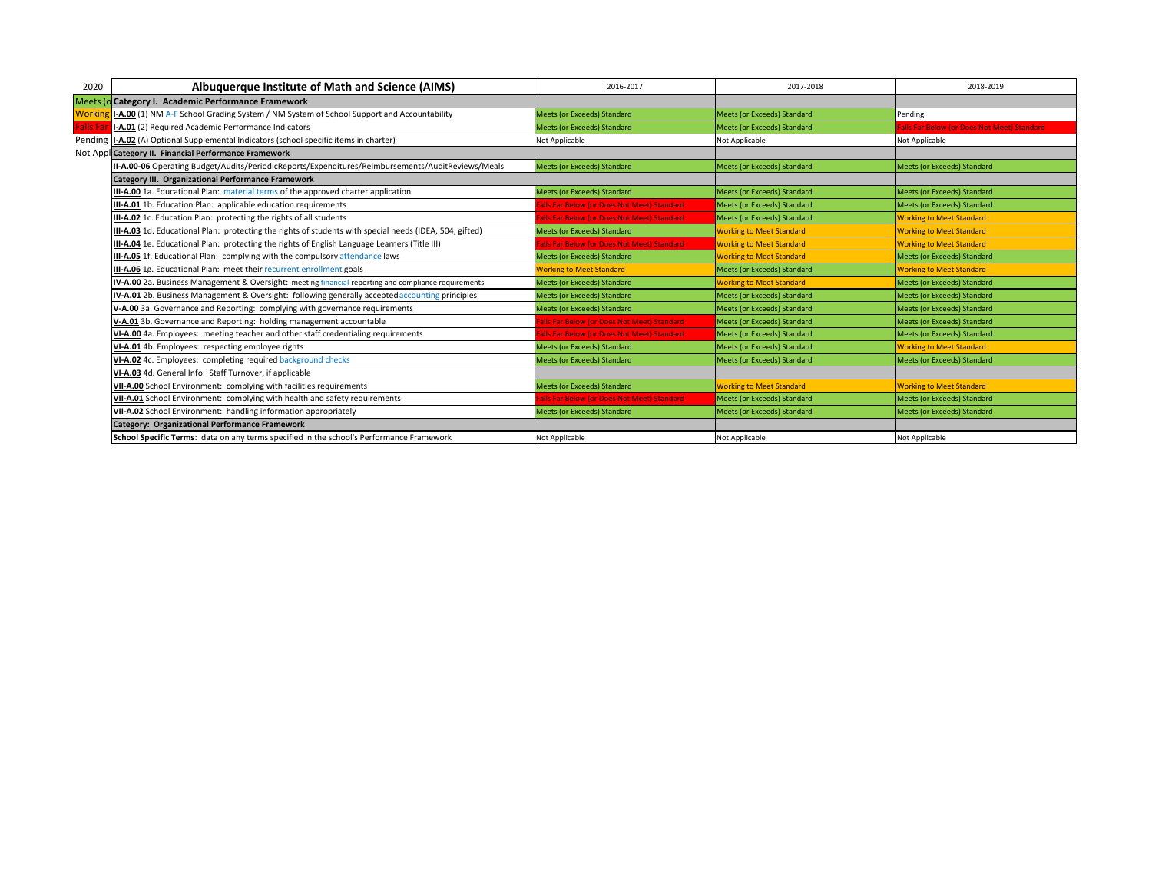| 2020    | Albuquerque Institute of Math and Science (AIMS)                                                        | 2016-2017                                  | 2017-2018                          | 2018-2019                                   |
|---------|---------------------------------------------------------------------------------------------------------|--------------------------------------------|------------------------------------|---------------------------------------------|
|         | Meets (o Category I. Academic Performance Framework                                                     |                                            |                                    |                                             |
| Workir  | <b>I-A.00</b> (1) NM A-F School Grading System / NM System of School Support and Accountability         | <b>Meets (or Exceeds) Standard</b>         | Meets (or Exceeds) Standard        | Pending                                     |
| alls Fa | I-A.01 (2) Required Academic Performance Indicators                                                     | <b>Meets (or Exceeds) Standard</b>         | Meets (or Exceeds) Standard        | Falls Far Below (or Does Not Meet) Standard |
|         | Pending I-A.02 (A) Optional Supplemental Indicators (school specific items in charter)                  | Not Applicable                             | Not Applicable                     | Not Applicable                              |
|         | Not Appl Category II. Financial Performance Framework                                                   |                                            |                                    |                                             |
|         | II-A.00-06 Operating Budget/Audits/PeriodicReports/Expenditures/Reimbursements/AuditReviews/Meals       | <b>Meets (or Exceeds) Standard</b>         | Meets (or Exceeds) Standard        | Meets (or Exceeds) Standard                 |
|         | <b>Category III. Organizational Performance Framework</b>                                               |                                            |                                    |                                             |
|         | III-A.00 1a. Educational Plan: material terms of the approved charter application                       | <b>Meets (or Exceeds) Standard</b>         | Meets (or Exceeds) Standard        | Meets (or Exceeds) Standard                 |
|         | II-A.01 1b. Education Plan: applicable education requirements                                           | alls Far Below (or Does Not Meet) Standard | <b>Meets (or Exceeds) Standard</b> | Meets (or Exceeds) Standard                 |
|         | II-A.02 1c. Education Plan: protecting the rights of all students                                       | alls Far Below (or Does Not Meet) Standard | Meets (or Exceeds) Standard        | <b>Working to Meet Standard</b>             |
|         | III-A.03 1d. Educational Plan: protecting the rights of students with special needs (IDEA, 504, gifted) | Meets (or Exceeds) Standard                | <b>Working to Meet Standard</b>    | <b>Working to Meet Standard</b>             |
|         | II-A.04 1e. Educational Plan: protecting the rights of English Language Learners (Title III)            | alls Far Below (or Does Not Meet) Standard | <b>Working to Meet Standard</b>    | <b>Working to Meet Standard</b>             |
|         | III-A.05 1f. Educational Plan: complying with the compulsory attendance laws                            | Meets (or Exceeds) Standard                | <b>Working to Meet Standard</b>    | Meets (or Exceeds) Standard                 |
|         | II-A.06 1g. Educational Plan: meet their recurrent enrollment goals                                     | <b>Norking to Meet Standard</b>            | Meets (or Exceeds) Standard        | <b>Working to Meet Standard</b>             |
|         | IV-A.00 2a. Business Management & Oversight: meeting financial reporting and compliance requirements    | Meets (or Exceeds) Standard                | <b>Working to Meet Standard</b>    | Meets (or Exceeds) Standard                 |
|         | IV-A.01 2b. Business Management & Oversight: following generally accepted accounting principles         | <b>Meets (or Exceeds) Standard</b>         | Meets (or Exceeds) Standard        | Meets (or Exceeds) Standard                 |
|         | V-A.00 3a. Governance and Reporting: complying with governance requirements                             | <b>Meets (or Exceeds) Standard</b>         | Meets (or Exceeds) Standard        | Meets (or Exceeds) Standard                 |
|         | V-A.01 3b. Governance and Reporting: holding management accountable                                     | alls Far Below (or Does Not Meet) Standard | <b>Meets (or Exceeds) Standard</b> | Meets (or Exceeds) Standard                 |
|         | VI-A.00 4a. Employees: meeting teacher and other staff credentialing requirements                       | alls Far Below (or Does Not Meet) Standard | Meets (or Exceeds) Standard        | Meets (or Exceeds) Standard                 |
|         | VI-A.01 4b. Employees: respecting employee rights                                                       | <b>Meets (or Exceeds) Standard</b>         | Meets (or Exceeds) Standard        | <b>Working to Meet Standard</b>             |
|         | VI-A.02 4c. Employees: completing required background checks                                            | <b>Meets (or Exceeds) Standard</b>         | Meets (or Exceeds) Standard        | Meets (or Exceeds) Standard                 |
|         | VI-A.03 4d. General Info: Staff Turnover, if applicable                                                 |                                            |                                    |                                             |
|         | VII-A.00 School Environment: complying with facilities requirements                                     | <b>Meets (or Exceeds) Standard</b>         | <b>Working to Meet Standard</b>    | <b>Working to Meet Standard</b>             |
|         | VII-A.01 School Environment: complying with health and safety requirements                              | alls Far Below (or Does Not Meet) Standard | Meets (or Exceeds) Standard        | Meets (or Exceeds) Standard                 |
|         | VII-A.02 School Environment: handling information appropriately                                         | <b>Meets (or Exceeds) Standard</b>         | Meets (or Exceeds) Standard        | Meets (or Exceeds) Standard                 |
|         | Category: Organizational Performance Framework                                                          |                                            |                                    |                                             |
|         | School Specific Terms: data on any terms specified in the school's Performance Framework                | Not Applicable                             | Not Applicable                     | Not Applicable                              |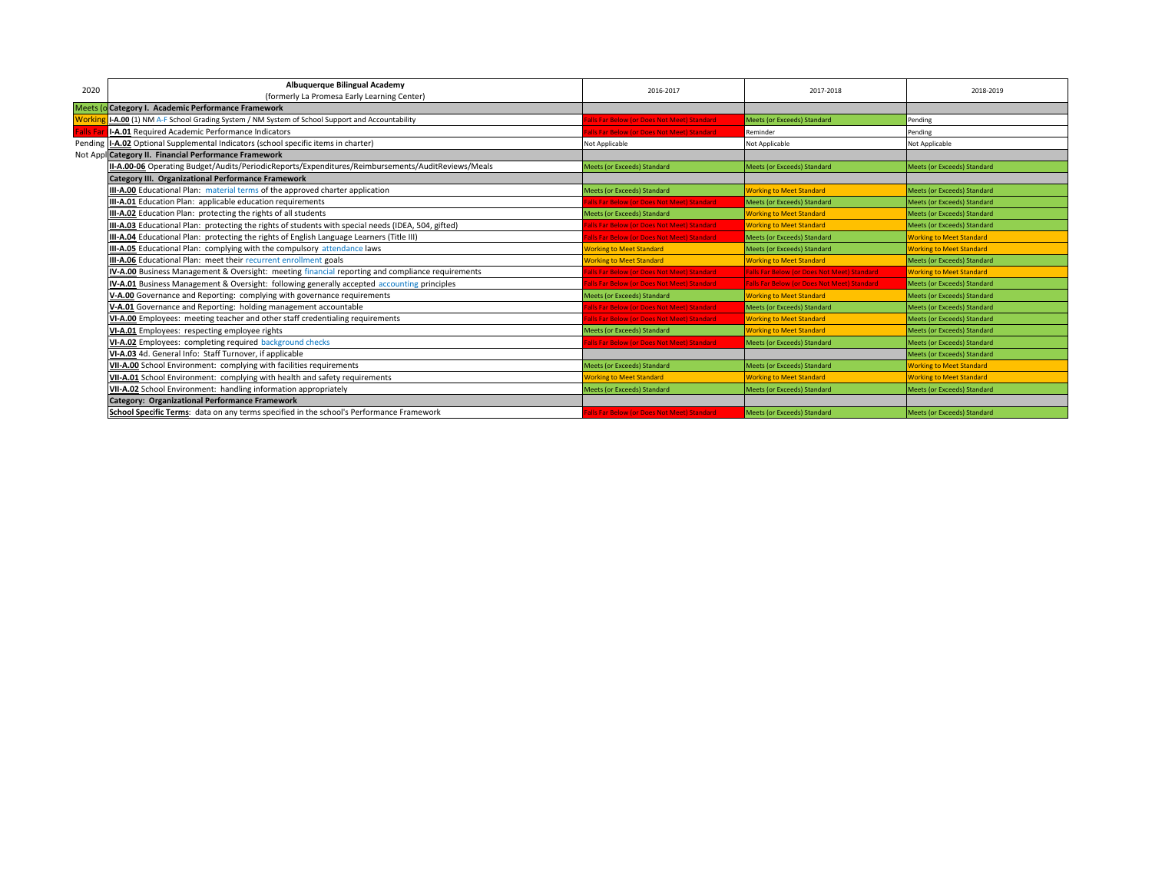| 2020             | Albuquerque Bilingual Academy                                                                       | 2016-2017                                         | 2017-2018                                          | 2018-2019                          |
|------------------|-----------------------------------------------------------------------------------------------------|---------------------------------------------------|----------------------------------------------------|------------------------------------|
|                  | (formerly La Promesa Early Learning Center)                                                         |                                                   |                                                    |                                    |
|                  | Meets (o Category I. Academic Performance Framework                                                 |                                                   |                                                    |                                    |
|                  | I-A.00 (1) NM A-F School Grading System / NM System of School Support and Accountability            | Ils Far Below (or Does Not Meet) Standard         | Meets (or Exceeds) Standard                        | Pending                            |
| <b>Falls Far</b> | I-A.01 Required Academic Performance Indicators                                                     | Ils Far Below (or Does Not Meet) Standard         | Reminder                                           | Pending                            |
|                  | Pending I-A.02 Optional Supplemental Indicators (school specific items in charter)                  | Not Applicable                                    | Not Applicable                                     | Not Applicable                     |
|                  | Not Appl Category II. Financial Performance Framework                                               |                                                   |                                                    |                                    |
|                  | II-A.00-06 Operating Budget/Audits/PeriodicReports/Expenditures/Reimbursements/AuditReviews/Meals   | Meets (or Exceeds) Standard                       | <b>Meets (or Exceeds) Standard</b>                 | <b>Meets (or Exceeds) Standard</b> |
|                  | Category III. Organizational Performance Framework                                                  |                                                   |                                                    |                                    |
|                  | III-A.00 Educational Plan: material terms of the approved charter application                       | Meets (or Exceeds) Standard                       | <b>Working to Meet Standard</b>                    | <b>Meets (or Exceeds) Standard</b> |
|                  | III-A.01 Education Plan: applicable education requirements                                          | Ills Far Below (or Does Not Meet) Standard        | Meets (or Exceeds) Standard                        | <b>Meets (or Exceeds) Standard</b> |
|                  | III-A.02 Education Plan: protecting the rights of all students                                      | Meets (or Exceeds) Standard                       | <b>Working to Meet Standard</b>                    | <b>Meets (or Exceeds) Standard</b> |
|                  | III-A.03 Educational Plan: protecting the rights of students with special needs (IDEA, 504, gifted) | Ils Far Below (or Does Not Meet) Standard         | <b>Working to Meet Standard</b>                    | <b>Meets (or Exceeds) Standard</b> |
|                  | III-A.04 Educational Plan: protecting the rights of English Language Learners (Title III)           | Ills Far Below (or Does Not Meet) Standard        | <b>Meets (or Exceeds) Standard</b>                 | <b>Working to Meet Standard</b>    |
|                  | III-A.05 Educational Plan: complying with the compulsory attendance laws                            | <b>Vorking to Meet Standard</b>                   | <b>Meets (or Exceeds) Standard</b>                 | <b>Working to Meet Standard</b>    |
|                  | III-A.06 Educational Plan: meet their recurrent enrollment goals                                    | <b>Vorking to Meet Standard</b>                   | <b>Working to Meet Standard</b>                    | <b>Meets (or Exceeds) Standard</b> |
|                  | IV-A.00 Business Management & Oversight: meeting financial reporting and compliance requirements    | <b>Ills Far Below (or Does Not Meet) Standard</b> | <b>Falls Far Below (or Does Not Meet) Standard</b> | <b>Working to Meet Standard</b>    |
|                  | IV-A.01 Business Management & Oversight: following generally accepted accounting principles         | Ills Far Below (or Does Not Meet) Standard        | <b>Falls Far Below (or Does Not Meet) Standard</b> | Meets (or Exceeds) Standard        |
|                  | V-A.00 Governance and Reporting: complying with governance requirements                             | Meets (or Exceeds) Standard                       | <b>Working to Meet Standard</b>                    | <b>Meets (or Exceeds) Standard</b> |
|                  | V-A.01 Governance and Reporting: holding management accountable                                     | <b>Ills Far Below (or Does Not Meet) Standard</b> | <b>Meets (or Exceeds) Standard</b>                 | <b>Meets (or Exceeds) Standard</b> |
|                  | VI-A.00 Employees: meeting teacher and other staff credentialing requirements                       | alls Far Below (or Does Not Meet) Standard        | <b>Working to Meet Standard</b>                    | <b>Meets (or Exceeds) Standard</b> |
|                  | VI-A.01 Employees: respecting employee rights                                                       | Meets (or Exceeds) Standard                       | <b>Working to Meet Standard</b>                    | <b>Meets (or Exceeds) Standard</b> |
|                  | VI-A.02 Employees: completing required background checks                                            | <b>Ills Far Below (or Does Not Meet) Standard</b> | Meets (or Exceeds) Standard                        | <b>Meets (or Exceeds) Standard</b> |
|                  | VI-A.03 4d. General Info: Staff Turnover, if applicable                                             |                                                   |                                                    | <b>Meets (or Exceeds) Standard</b> |
|                  | VII-A.00 School Environment: complying with facilities requirements                                 | <b>Meets (or Exceeds) Standard</b>                | Meets (or Exceeds) Standard                        | <b>Working to Meet Standard</b>    |
|                  | VII-A.01 School Environment: complying with health and safety requirements                          | <b>Vorking to Meet Standard</b>                   | <b>Working to Meet Standard</b>                    | <b>Working to Meet Standard</b>    |
|                  | VII-A.02 School Environment: handling information appropriately                                     | Meets (or Exceeds) Standard                       | Meets (or Exceeds) Standard                        | Meets (or Exceeds) Standard        |
|                  | <b>Category: Organizational Performance Framework</b>                                               |                                                   |                                                    |                                    |
|                  | School Specific Terms: data on any terms specified in the school's Performance Framework            | ills Far Below (or Does Not Meet) Standard        | <b>Meets (or Exceeds) Standard</b>                 | Meets (or Exceeds) Standard        |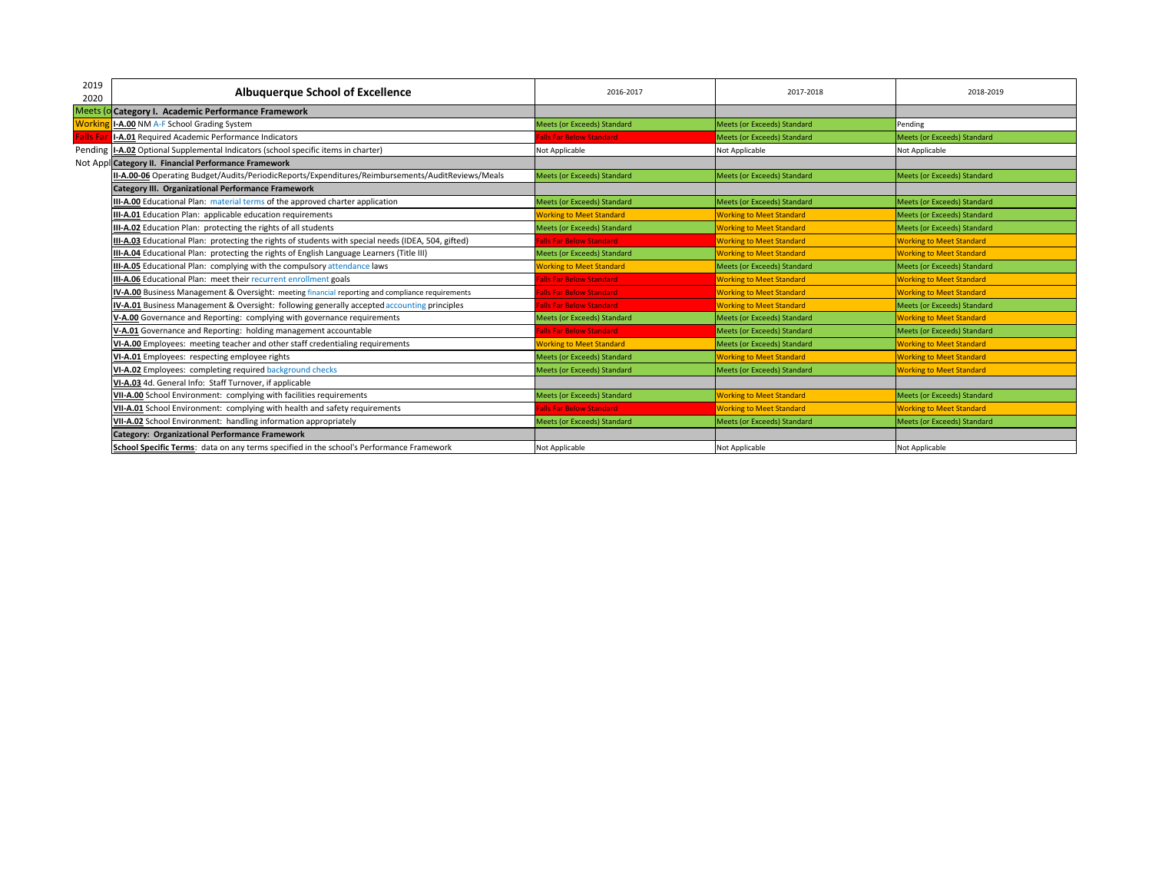| 2020     | <b>Albuquerque School of Excellence</b>                                                             |                                    |                                    | 2018-2019                          |
|----------|-----------------------------------------------------------------------------------------------------|------------------------------------|------------------------------------|------------------------------------|
|          |                                                                                                     |                                    |                                    |                                    |
|          | Meets (o Category I. Academic Performance Framework                                                 |                                    |                                    |                                    |
| Workir   | I-A.00 NM A-F School Grading System                                                                 | Meets (or Exceeds) Standard        | Meets (or Exceeds) Standard        | Pending                            |
| Falls Fa | I-A.01 Required Academic Performance Indicators                                                     | alls Far Below Standard            | Meets (or Exceeds) Standard        | Meets (or Exceeds) Standard        |
|          | Pending I-A.02 Optional Supplemental Indicators (school specific items in charter)                  | Not Applicable                     | Not Applicable                     | Not Applicable                     |
|          | Not Appl Category II. Financial Performance Framework                                               |                                    |                                    |                                    |
|          | II-A.00-06 Operating Budget/Audits/PeriodicReports/Expenditures/Reimbursements/AuditReviews/Meals   | <b>Meets (or Exceeds) Standard</b> | Meets (or Exceeds) Standard        | Meets (or Exceeds) Standard        |
|          | Category III. Organizational Performance Framework                                                  |                                    |                                    |                                    |
|          | III-A.00 Educational Plan: material terms of the approved charter application                       | Meets (or Exceeds) Standard        | Meets (or Exceeds) Standard        | Meets (or Exceeds) Standard        |
|          | III-A.01 Education Plan: applicable education requirements                                          | <b>Working to Meet Standard</b>    | <b>Working to Meet Standard</b>    | Meets (or Exceeds) Standard        |
|          | III-A.02 Education Plan: protecting the rights of all students                                      | <b>Meets (or Exceeds) Standard</b> | <b>Working to Meet Standard</b>    | Meets (or Exceeds) Standard        |
|          | III-A.03 Educational Plan: protecting the rights of students with special needs (IDEA, 504, gifted) | alls Far Below Standard            | <b>Working to Meet Standard</b>    | <b>Working to Meet Standard</b>    |
|          | III-A.04 Educational Plan: protecting the rights of English Language Learners (Title III)           | Meets (or Exceeds) Standard        | <b>Working to Meet Standard</b>    | <b>Working to Meet Standard</b>    |
|          | III-A.05 Educational Plan: complying with the compulsory attendance laws                            | <b>Working to Meet Standard</b>    | Meets (or Exceeds) Standard        | <b>Meets (or Exceeds) Standard</b> |
|          | III-A.06 Educational Plan: meet their recurrent enrollment goals                                    | alls Far Below Standard            | <b>Working to Meet Standard</b>    | <b>Working to Meet Standard</b>    |
|          | IV-A.00 Business Management & Oversight: meeting financial reporting and compliance requirements    | alls Far Below Standard            | <b>Working to Meet Standard</b>    | <b>Working to Meet Standard</b>    |
|          | IV-A.01 Business Management & Oversight: following generally accepted accounting principles         | alls Far Below Standard            | <b>Working to Meet Standard</b>    | Meets (or Exceeds) Standard        |
|          | V-A.00 Governance and Reporting: complying with governance requirements                             | <b>Meets (or Exceeds) Standard</b> | Meets (or Exceeds) Standard        | <b>Working to Meet Standard</b>    |
|          | V-A.01 Governance and Reporting: holding management accountable                                     | alls Far Below Standard            | Meets (or Exceeds) Standard        | Meets (or Exceeds) Standard        |
|          | VI-A.00 Employees: meeting teacher and other staff credentialing requirements                       | <b>Working to Meet Standard</b>    | <b>Meets (or Exceeds) Standard</b> | <b>Working to Meet Standard</b>    |
|          | VI-A.01 Employees: respecting employee rights                                                       | Meets (or Exceeds) Standard        | <b>Working to Meet Standard</b>    | <b>Working to Meet Standard</b>    |
|          | VI-A.02 Employees: completing required background checks                                            | Meets (or Exceeds) Standard        | Meets (or Exceeds) Standard        | <b>Working to Meet Standard</b>    |
|          | VI-A.03 4d. General Info: Staff Turnover, if applicable                                             |                                    |                                    |                                    |
|          | VII-A.00 School Environment: complying with facilities requirements                                 | Meets (or Exceeds) Standard        | <b>Working to Meet Standard</b>    | Meets (or Exceeds) Standard        |
|          | VII-A.01 School Environment: complying with health and safety requirements                          | alls Far Below Standard            | <b>Working to Meet Standard</b>    | <b>Working to Meet Standard</b>    |
|          | VII-A.02 School Environment: handling information appropriately                                     | Meets (or Exceeds) Standard        | Meets (or Exceeds) Standard        | Meets (or Exceeds) Standard        |
|          | Category: Organizational Performance Framework                                                      |                                    |                                    |                                    |
|          | School Specific Terms: data on any terms specified in the school's Performance Framework            | Not Applicable                     | Not Applicable                     | Not Applicable                     |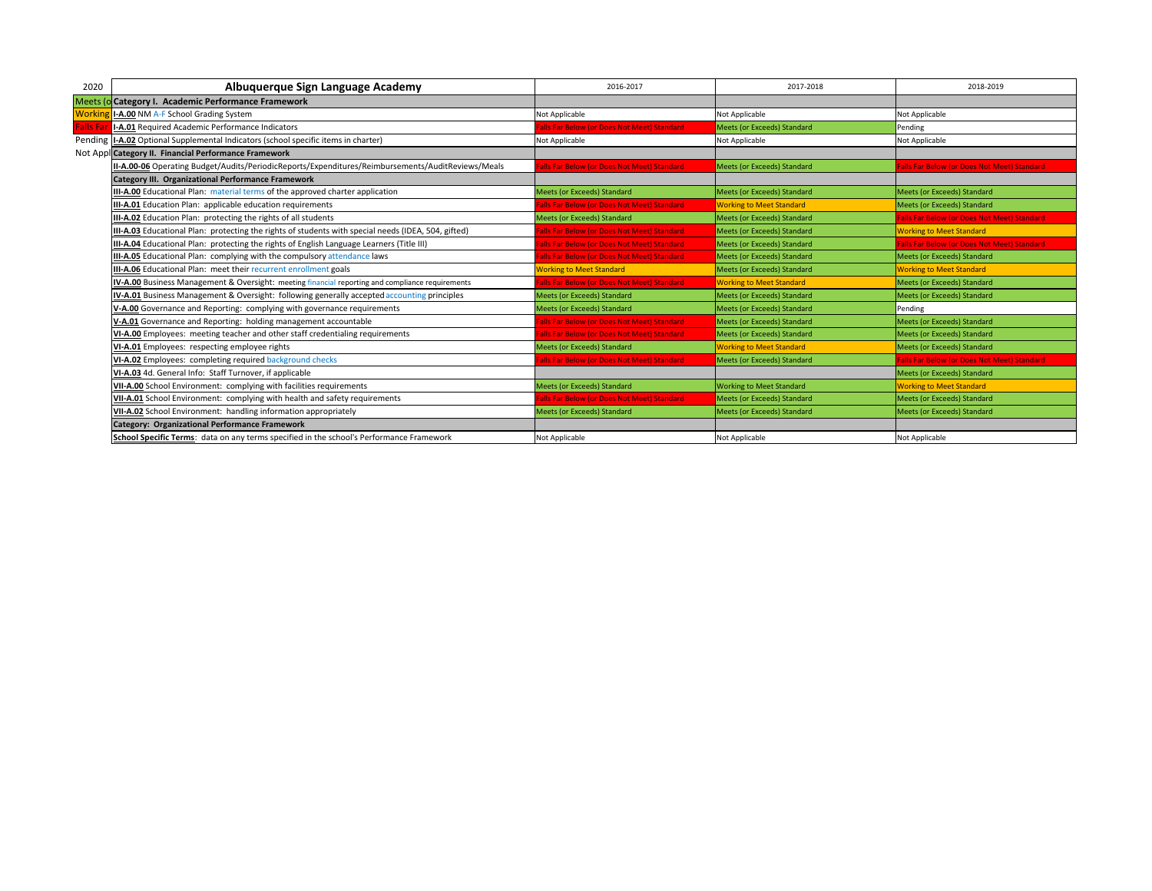| 2020             | Albuquerque Sign Language Academy                                                                   | 2016-2017                                  | 2017-2018                          | 2018-2019                                          |
|------------------|-----------------------------------------------------------------------------------------------------|--------------------------------------------|------------------------------------|----------------------------------------------------|
|                  | Meets (o Category I. Academic Performance Framework                                                 |                                            |                                    |                                                    |
| <b>Workir</b>    | I-A.00 NM A-F School Grading System                                                                 | Not Applicable                             | Not Applicable                     | Not Applicable                                     |
| <b>Falls Far</b> | I-A.01 Required Academic Performance Indicators                                                     | alls Far Below (or Does Not Meet) Standard | <b>Meets (or Exceeds) Standard</b> | Pending                                            |
|                  | Pending   I-A.02 Optional Supplemental Indicators (school specific items in charter)                | Not Applicable                             | Not Applicable                     | Not Applicable                                     |
|                  | Not Appl Category II. Financial Performance Framework                                               |                                            |                                    |                                                    |
|                  | II-A.00-06 Operating Budget/Audits/PeriodicReports/Expenditures/Reimbursements/AuditReviews/Meals   | alls Far Below (or Does Not Meet) Standard | Meets (or Exceeds) Standard        | alls Far Below (or Does Not Meet) Standard         |
|                  | Category III. Organizational Performance Framework                                                  |                                            |                                    |                                                    |
|                  | III-A.00 Educational Plan: material terms of the approved charter application                       | Meets (or Exceeds) Standard                | Meets (or Exceeds) Standard        | Meets (or Exceeds) Standard                        |
|                  | III-A.01 Education Plan: applicable education requirements                                          | alls Far Below (or Does Not Meet) Standard | <b>Working to Meet Standard</b>    | Meets (or Exceeds) Standard                        |
|                  | <b>III-A.02</b> Education Plan: protecting the rights of all students                               | <b>Meets (or Exceeds) Standard</b>         | Meets (or Exceeds) Standard        | Falls Far Below (or Does Not Meet) Standard        |
|                  | III-A.03 Educational Plan: protecting the rights of students with special needs (IDEA, 504, gifted) | alls Far Below (or Does Not Meet) Standard | Meets (or Exceeds) Standard        | <b>Working to Meet Standard</b>                    |
|                  | III-A.04 Educational Plan: protecting the rights of English Language Learners (Title III)           | alls Far Below (or Does Not Meet) Standard | <b>Meets (or Exceeds) Standard</b> | <b>Falls Far Below (or Does Not Meet) Standard</b> |
|                  | III-A.05 Educational Plan: complying with the compulsory attendance laws                            | alls Far Below (or Does Not Meet) Standard | Meets (or Exceeds) Standard        | Meets (or Exceeds) Standard                        |
|                  | III-A.06 Educational Plan: meet their recurrent enrollment goals                                    | <b>Working to Meet Standard</b>            | <b>Meets (or Exceeds) Standard</b> | <b>Working to Meet Standard</b>                    |
|                  | IV-A.00 Business Management & Oversight: meeting financial reporting and compliance requirements    | alls Far Below (or Does Not Meet) Standard | <b>Working to Meet Standard</b>    | Meets (or Exceeds) Standard                        |
|                  | IV-A.01 Business Management & Oversight: following generally accepted accounting principles         | Meets (or Exceeds) Standard                | Meets (or Exceeds) Standard        | Meets (or Exceeds) Standard                        |
|                  | V-A.00 Governance and Reporting: complying with governance requirements                             | <b>Meets (or Exceeds) Standard</b>         | Meets (or Exceeds) Standard        | Pending                                            |
|                  | V-A.01 Governance and Reporting: holding management accountable                                     | alls Far Below (or Does Not Meet) Standard | Meets (or Exceeds) Standard        | Meets (or Exceeds) Standard                        |
|                  | VI-A.00 Employees: meeting teacher and other staff credentialing requirements                       | alls Far Below (or Does Not Meet) Standard | Meets (or Exceeds) Standard        | Meets (or Exceeds) Standard                        |
|                  | VI-A.01 Employees: respecting employee rights                                                       | Meets (or Exceeds) Standard                | <b>Working to Meet Standard</b>    | Meets (or Exceeds) Standard                        |
|                  | VI-A.02 Employees: completing required background checks                                            | alls Far Below (or Does Not Meet) Standard | Meets (or Exceeds) Standard        | <b>Falls Far Below (or Does Not Meet) Standard</b> |
|                  | VI-A.03 4d. General Info: Staff Turnover, if applicable                                             |                                            |                                    | Meets (or Exceeds) Standard                        |
|                  | VII-A.00 School Environment: complying with facilities requirements                                 | <b>Meets (or Exceeds) Standard</b>         | <b>Working to Meet Standard</b>    | <b>Working to Meet Standard</b>                    |
|                  | VII-A.01 School Environment: complying with health and safety requirements                          | alls Far Below (or Does Not Meet) Standard | Meets (or Exceeds) Standard        | Meets (or Exceeds) Standard                        |
|                  | VII-A.02 School Environment: handling information appropriately                                     | Meets (or Exceeds) Standard                | <b>Meets (or Exceeds) Standard</b> | <b>Meets (or Exceeds) Standard</b>                 |
|                  | <b>Category: Organizational Performance Framework</b>                                               |                                            |                                    |                                                    |
|                  | School Specific Terms: data on any terms specified in the school's Performance Framework            | Not Applicable                             | Not Applicable                     | Not Applicable                                     |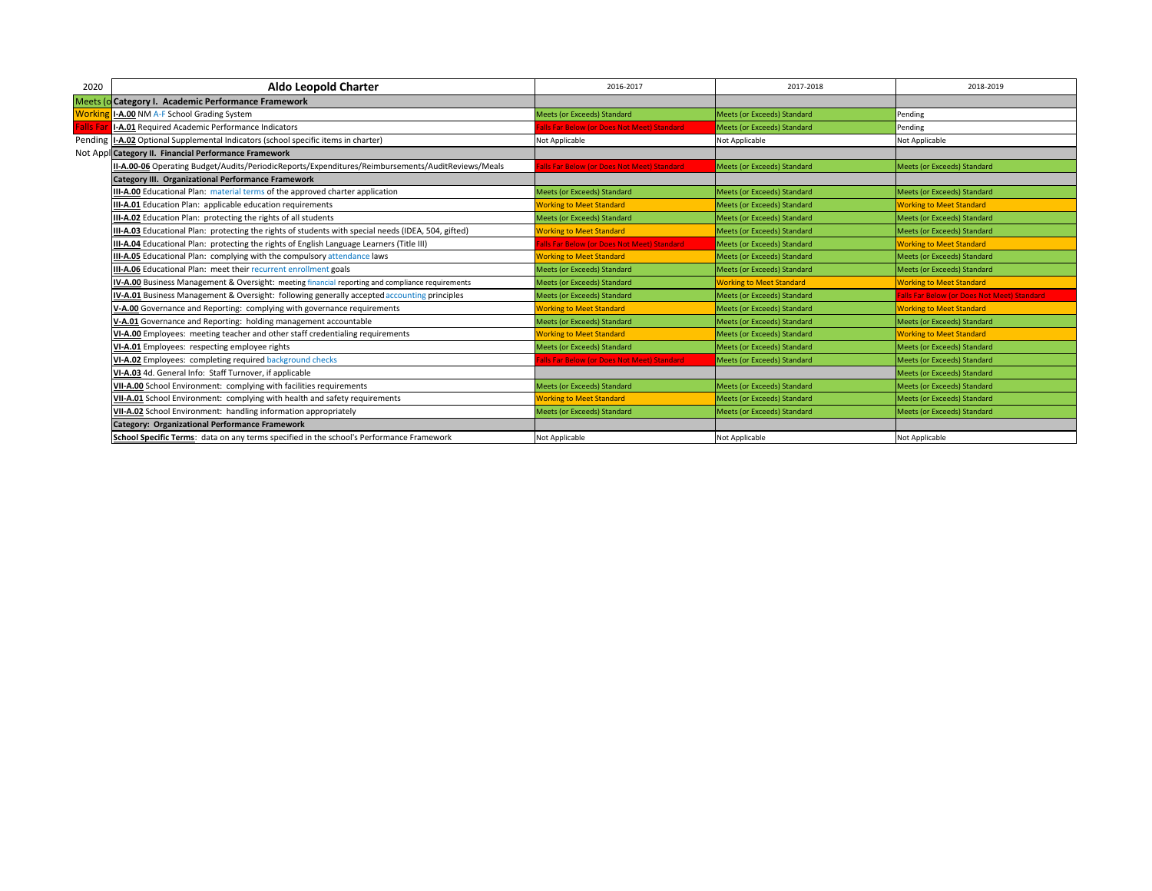| 2020            | <b>Aldo Leopold Charter</b>                                                                         | 2016-2017                                  | 2017-2018                          | 2018-2019                                   |
|-----------------|-----------------------------------------------------------------------------------------------------|--------------------------------------------|------------------------------------|---------------------------------------------|
|                 | Meets (o Category I. Academic Performance Framework                                                 |                                            |                                    |                                             |
| Workir          | I-A.00 NM A-F School Grading System                                                                 | Meets (or Exceeds) Standard                | <b>Meets (or Exceeds) Standard</b> | Pending                                     |
| <b>Falls Fa</b> | I-A.01 Required Academic Performance Indicators                                                     | alls Far Below (or Does Not Meet) Standard | <b>Meets (or Exceeds) Standard</b> | Pending                                     |
|                 | Pending  I-A.02 Optional Supplemental Indicators (school specific items in charter)                 | Not Applicable                             | Not Applicable                     | Not Applicable                              |
|                 | Not Appl Category II. Financial Performance Framework                                               |                                            |                                    |                                             |
|                 | II-A.00-06 Operating Budget/Audits/PeriodicReports/Expenditures/Reimbursements/AuditReviews/Meals   | alls Far Below (or Does Not Meet) Standard | Meets (or Exceeds) Standard        | <b>Meets (or Exceeds) Standard</b>          |
|                 | <b>Category III. Organizational Performance Framework</b>                                           |                                            |                                    |                                             |
|                 | III-A.00 Educational Plan: material terms of the approved charter application                       | Meets (or Exceeds) Standard                | <b>Meets (or Exceeds) Standard</b> | Meets (or Exceeds) Standard                 |
|                 | III-A.01 Education Plan: applicable education requirements                                          | <b>Working to Meet Standard</b>            | <b>Meets (or Exceeds) Standard</b> | <b>Working to Meet Standard</b>             |
|                 | III-A.02 Education Plan: protecting the rights of all students                                      | Meets (or Exceeds) Standard                | Meets (or Exceeds) Standard        | Meets (or Exceeds) Standard                 |
|                 | III-A.03 Educational Plan: protecting the rights of students with special needs (IDEA, 504, gifted) | <b>Working to Meet Standard</b>            | <b>Meets (or Exceeds) Standard</b> | <b>Meets (or Exceeds) Standard</b>          |
|                 | III-A.04 Educational Plan: protecting the rights of English Language Learners (Title III)           | alls Far Below (or Does Not Meet) Standard | <b>Meets (or Exceeds) Standard</b> | <b>Working to Meet Standard</b>             |
|                 | <b>III-A.05</b> Educational Plan: complying with the compulsory attendance laws                     | <b>Working to Meet Standard</b>            | <b>Meets (or Exceeds) Standard</b> | Meets (or Exceeds) Standard                 |
|                 | III-A.06 Educational Plan: meet their recurrent enrollment goals                                    | <b>Meets (or Exceeds) Standard</b>         | <b>Meets (or Exceeds) Standard</b> | Meets (or Exceeds) Standard                 |
|                 | IV-A.00 Business Management & Oversight: meeting financial reporting and compliance requirements    | Meets (or Exceeds) Standard                | <b>Working to Meet Standard</b>    | <b>Working to Meet Standard</b>             |
|                 | IV-A.01 Business Management & Oversight: following generally accepted accounting principles         | Meets (or Exceeds) Standard                | Meets (or Exceeds) Standard        | Falls Far Below (or Does Not Meet) Standard |
|                 | V-A.00 Governance and Reporting: complying with governance requirements                             | <b>Norking to Meet Standard</b>            | <b>Meets (or Exceeds) Standard</b> | <b>Working to Meet Standard</b>             |
|                 | V-A.01 Governance and Reporting: holding management accountable                                     | <b>Meets (or Exceeds) Standard</b>         | <b>Meets (or Exceeds) Standard</b> | <b>Meets (or Exceeds) Standard</b>          |
|                 | VI-A.00 Employees: meeting teacher and other staff credentialing requirements                       | <b>Working to Meet Standard</b>            | Meets (or Exceeds) Standard        | <b>Working to Meet Standard</b>             |
|                 | VI-A.01 Employees: respecting employee rights                                                       | <b>Meets (or Exceeds) Standard</b>         | <b>Meets (or Exceeds) Standard</b> | <b>Meets (or Exceeds) Standard</b>          |
|                 | VI-A.02 Employees: completing required background checks                                            | alls Far Below (or Does Not Meet) Standard | Meets (or Exceeds) Standard        | Meets (or Exceeds) Standard                 |
|                 | VI-A.03 4d. General Info: Staff Turnover, if applicable                                             |                                            |                                    | Meets (or Exceeds) Standard                 |
|                 | VII-A.00 School Environment: complying with facilities requirements                                 | Meets (or Exceeds) Standard                | Meets (or Exceeds) Standard        | <b>Meets (or Exceeds) Standard</b>          |
|                 | VII-A.01 School Environment: complying with health and safety requirements                          | <b>Working to Meet Standard</b>            | Meets (or Exceeds) Standard        | Meets (or Exceeds) Standard                 |
|                 | VII-A.02 School Environment: handling information appropriately                                     | <b>Meets (or Exceeds) Standard</b>         | <b>Meets (or Exceeds) Standard</b> | <b>Meets (or Exceeds) Standard</b>          |
|                 | <b>Category: Organizational Performance Framework</b>                                               |                                            |                                    |                                             |
|                 | School Specific Terms: data on any terms specified in the school's Performance Framework            | Not Applicable                             | Not Applicable                     | Not Applicable                              |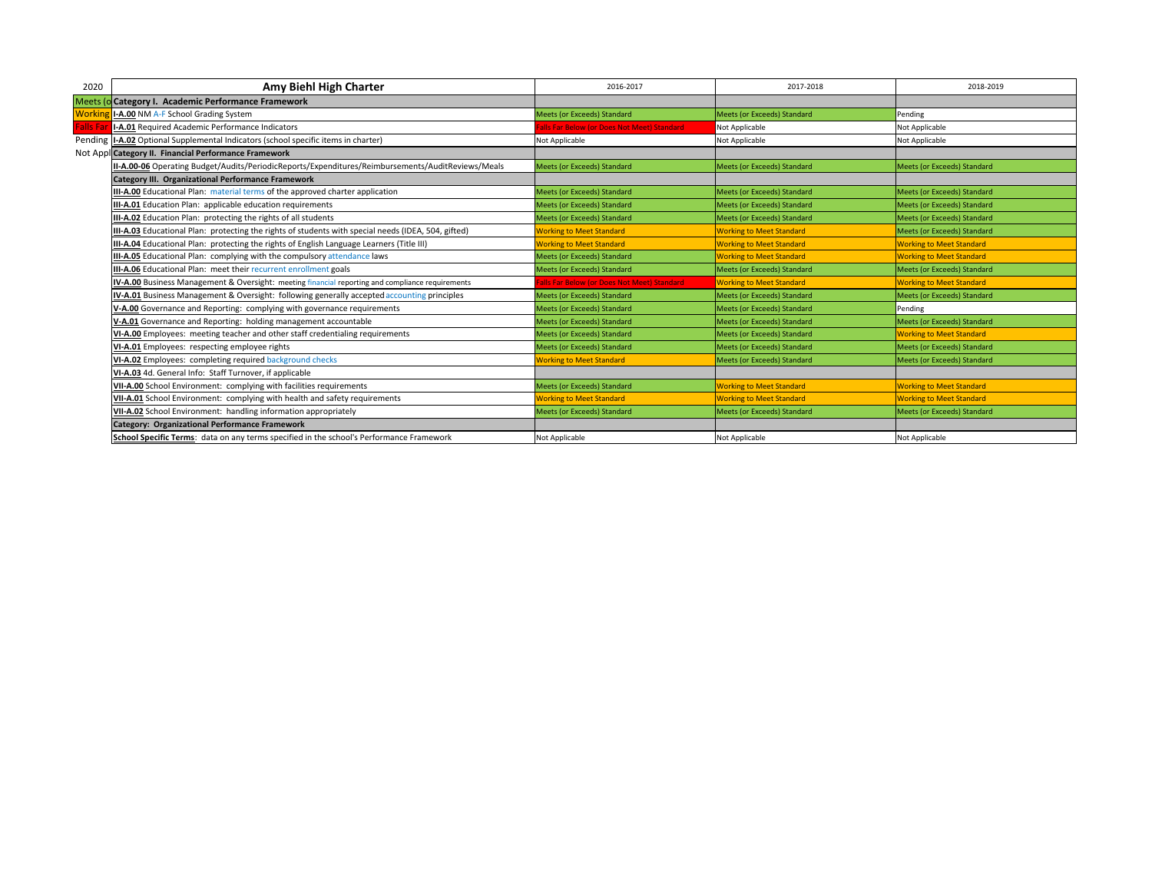| 2020            | Amy Biehl High Charter                                                                              | 2016-2017                                  | 2017-2018                          | 2018-2019                          |
|-----------------|-----------------------------------------------------------------------------------------------------|--------------------------------------------|------------------------------------|------------------------------------|
|                 | Meets (o Category I. Academic Performance Framework                                                 |                                            |                                    |                                    |
| <b>Workin</b>   | I-A.00 NM A-F School Grading System                                                                 | Meets (or Exceeds) Standard                | <b>Meets (or Exceeds) Standard</b> | Pending                            |
| <b>Falls Fa</b> | I-A.01 Required Academic Performance Indicators                                                     | alls Far Below (or Does Not Meet) Standard | Not Applicable                     | Not Applicable                     |
|                 | Pending   I-A.02 Optional Supplemental Indicators (school specific items in charter)                | Not Applicable                             | Not Applicable                     | Not Applicable                     |
|                 | Not Appl Category II. Financial Performance Framework                                               |                                            |                                    |                                    |
|                 | II-A.00-06 Operating Budget/Audits/PeriodicReports/Expenditures/Reimbursements/AuditReviews/Meals   | <b>Meets (or Exceeds) Standard</b>         | <b>Meets (or Exceeds) Standard</b> | Meets (or Exceeds) Standard        |
|                 | <b>Category III. Organizational Performance Framework</b>                                           |                                            |                                    |                                    |
|                 | III-A.00 Educational Plan: material terms of the approved charter application                       | Meets (or Exceeds) Standard                | <b>Meets (or Exceeds) Standard</b> | Meets (or Exceeds) Standard        |
|                 | III-A.01 Education Plan: applicable education requirements                                          | Meets (or Exceeds) Standard                | <b>Meets (or Exceeds) Standard</b> | Meets (or Exceeds) Standard        |
|                 | III-A.02 Education Plan: protecting the rights of all students                                      | Meets (or Exceeds) Standard                | Meets (or Exceeds) Standard        | Meets (or Exceeds) Standard        |
|                 | III-A.03 Educational Plan: protecting the rights of students with special needs (IDEA, 504, gifted) | <b>Working to Meet Standard</b>            | <b>Working to Meet Standard</b>    | <b>Meets (or Exceeds) Standard</b> |
|                 | III-A.04 Educational Plan: protecting the rights of English Language Learners (Title III)           | <b>Working to Meet Standard</b>            | <b>Working to Meet Standard</b>    | <b>Working to Meet Standard</b>    |
|                 | <b>III-A.05</b> Educational Plan: complying with the compulsory attendance laws                     | <b>Meets (or Exceeds) Standard</b>         | <b>Working to Meet Standard</b>    | <b>Working to Meet Standard</b>    |
|                 | <b>III-A.06</b> Educational Plan: meet their recurrent enrollment goals                             | Meets (or Exceeds) Standard                | <b>Meets (or Exceeds) Standard</b> | Meets (or Exceeds) Standard        |
|                 | IV-A.00 Business Management & Oversight: meeting financial reporting and compliance requirements    | alls Far Below (or Does Not Meet) Standard | <b>Working to Meet Standard</b>    | <b>Working to Meet Standard</b>    |
|                 | IV-A.01 Business Management & Oversight: following generally accepted accounting principles         | <b>Meets (or Exceeds) Standard</b>         | Meets (or Exceeds) Standard        | Meets (or Exceeds) Standard        |
|                 | V-A.00 Governance and Reporting: complying with governance requirements                             | Meets (or Exceeds) Standard                | <b>Meets (or Exceeds) Standard</b> | Pending                            |
|                 | V-A.01 Governance and Reporting: holding management accountable                                     | <b>Meets (or Exceeds) Standard</b>         | <b>Meets (or Exceeds) Standard</b> | Meets (or Exceeds) Standard        |
|                 | VI-A.00 Employees: meeting teacher and other staff credentialing requirements                       | <b>Meets (or Exceeds) Standard</b>         | Meets (or Exceeds) Standard        | <b>Working to Meet Standard</b>    |
|                 | VI-A.01 Employees: respecting employee rights                                                       | Meets (or Exceeds) Standard                | <b>Meets (or Exceeds) Standard</b> | Meets (or Exceeds) Standard        |
|                 | VI-A.02 Employees: completing required background checks                                            | <b>Working to Meet Standard</b>            | Meets (or Exceeds) Standard        | Meets (or Exceeds) Standard        |
|                 | VI-A.03 4d. General Info: Staff Turnover, if applicable                                             |                                            |                                    |                                    |
|                 | VII-A.00 School Environment: complying with facilities requirements                                 | Meets (or Exceeds) Standard                | <b>Working to Meet Standard</b>    | <b>Working to Meet Standard</b>    |
|                 | VII-A.01 School Environment: complying with health and safety requirements                          | <b>Working to Meet Standard</b>            | <b>Working to Meet Standard</b>    | <b>Working to Meet Standard</b>    |
|                 | VII-A.02 School Environment: handling information appropriately                                     | <b>Meets (or Exceeds) Standard</b>         | <b>Meets (or Exceeds) Standard</b> | Meets (or Exceeds) Standard        |
|                 | Category: Organizational Performance Framework                                                      |                                            |                                    |                                    |
|                 | School Specific Terms: data on any terms specified in the school's Performance Framework            | Not Applicable                             | Not Applicable                     | Not Applicable                     |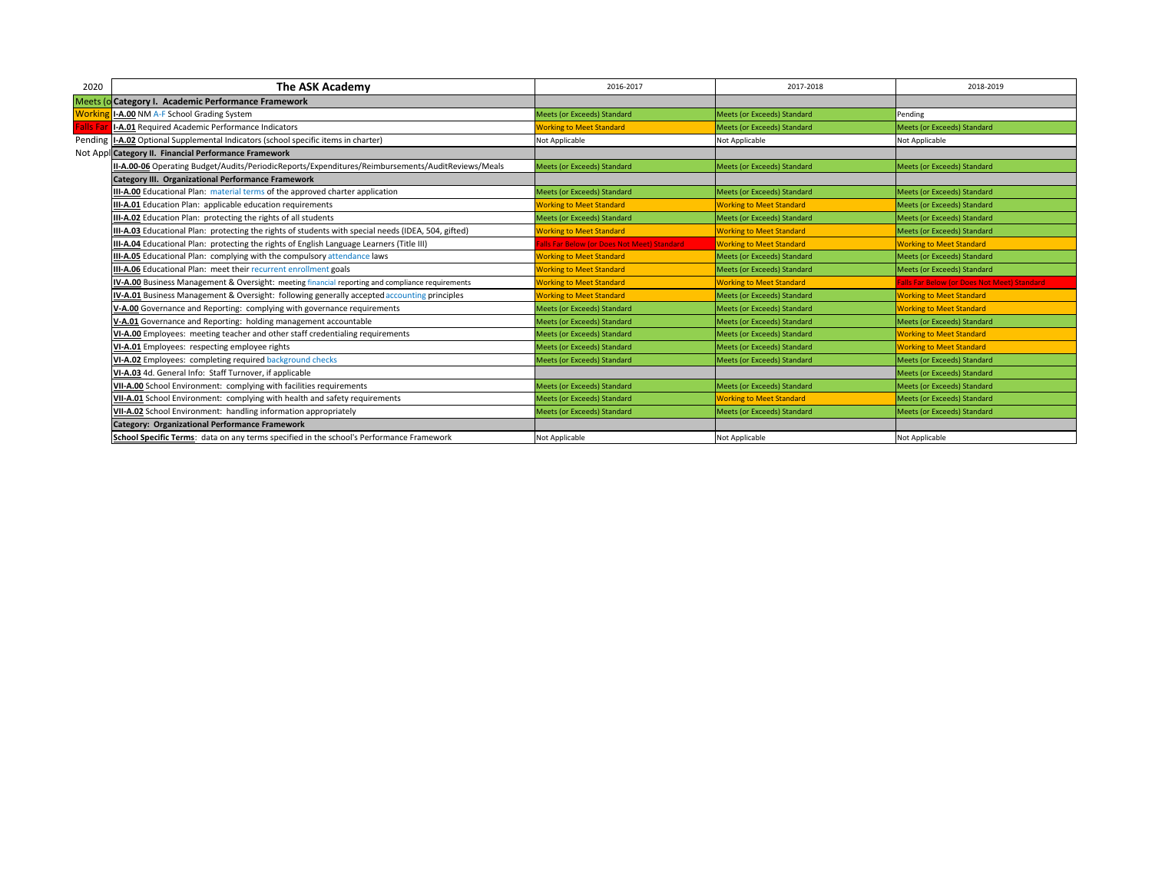| 2020            | The ASK Academy                                                                                     | 2016-2017                                  | 2017-2018                          | 2018-2019                                          |
|-----------------|-----------------------------------------------------------------------------------------------------|--------------------------------------------|------------------------------------|----------------------------------------------------|
|                 | Meets (o Category I. Academic Performance Framework                                                 |                                            |                                    |                                                    |
| Workin          | I-A.00 NM A-F School Grading System                                                                 | <b>Meets (or Exceeds) Standard</b>         | <b>Meets (or Exceeds) Standard</b> | Pending                                            |
| <b>Falls Fa</b> | I-A.01 Required Academic Performance Indicators                                                     | <b>Norking to Meet Standard</b>            | <b>Meets (or Exceeds) Standard</b> | Meets (or Exceeds) Standard                        |
|                 | Pending   I-A.02 Optional Supplemental Indicators (school specific items in charter)                | Not Applicable                             | Not Applicable                     | Not Applicable                                     |
|                 | Not Appl Category II. Financial Performance Framework                                               |                                            |                                    |                                                    |
|                 | II-A.00-06 Operating Budget/Audits/PeriodicReports/Expenditures/Reimbursements/AuditReviews/Meals   | <b>Meets (or Exceeds) Standard</b>         | <b>Meets (or Exceeds) Standard</b> | Meets (or Exceeds) Standard                        |
|                 | <b>Category III. Organizational Performance Framework</b>                                           |                                            |                                    |                                                    |
|                 | III-A.00 Educational Plan: material terms of the approved charter application                       | <b>Meets (or Exceeds) Standard</b>         | Meets (or Exceeds) Standard        | Meets (or Exceeds) Standard                        |
|                 | III-A.01 Education Plan: applicable education requirements                                          | <b>Working to Meet Standard</b>            | <b>Working to Meet Standard</b>    | <b>Meets (or Exceeds) Standard</b>                 |
|                 | III-A.02 Education Plan: protecting the rights of all students                                      | Meets (or Exceeds) Standard                | Meets (or Exceeds) Standard        | Meets (or Exceeds) Standard                        |
|                 | III-A.03 Educational Plan: protecting the rights of students with special needs (IDEA, 504, gifted) | <b>Working to Meet Standard</b>            | <b>Working to Meet Standard</b>    | Meets (or Exceeds) Standard                        |
|                 | III-A.04 Educational Plan: protecting the rights of English Language Learners (Title III)           | alls Far Below (or Does Not Meet) Standard | <b>Working to Meet Standard</b>    | <b>Working to Meet Standard</b>                    |
|                 | <b>III-A.05</b> Educational Plan: complying with the compulsory attendance laws                     | <b>Working to Meet Standard</b>            | Meets (or Exceeds) Standard        | Meets (or Exceeds) Standard                        |
|                 | III-A.06 Educational Plan: meet their recurrent enrollment goals                                    | <b>Working to Meet Standard</b>            | <b>Meets (or Exceeds) Standard</b> | Meets (or Exceeds) Standard                        |
|                 | IV-A.00 Business Management & Oversight: meeting financial reporting and compliance requirements    | <b>Working to Meet Standard</b>            | <b>Working to Meet Standard</b>    | <b>Falls Far Below (or Does Not Meet) Standard</b> |
|                 | <b>IV-A.01</b> Business Management & Oversight: following generally accepted accounting principles  | <b>Working to Meet Standard</b>            | Meets (or Exceeds) Standard        | <b>Working to Meet Standard</b>                    |
|                 | V-A.00 Governance and Reporting: complying with governance requirements                             | <b>Meets (or Exceeds) Standard</b>         | <b>Meets (or Exceeds) Standard</b> | <b>Working to Meet Standard</b>                    |
|                 | V-A.01 Governance and Reporting: holding management accountable                                     | <b>Meets (or Exceeds) Standard</b>         | <b>Meets (or Exceeds) Standard</b> | Meets (or Exceeds) Standard                        |
|                 | VI-A.00 Employees: meeting teacher and other staff credentialing requirements                       | <b>Meets (or Exceeds) Standard</b>         | Meets (or Exceeds) Standard        | <b>Working to Meet Standard</b>                    |
|                 | VI-A.01 Employees: respecting employee rights                                                       | <b>Meets (or Exceeds) Standard</b>         | <b>Meets (or Exceeds) Standard</b> | <b>Working to Meet Standard</b>                    |
|                 | VI-A.02 Employees: completing required background checks                                            | Meets (or Exceeds) Standard                | Meets (or Exceeds) Standard        | Meets (or Exceeds) Standard                        |
|                 | VI-A.03 4d. General Info: Staff Turnover, if applicable                                             |                                            |                                    | Meets (or Exceeds) Standard                        |
|                 | VII-A.00 School Environment: complying with facilities requirements                                 | Meets (or Exceeds) Standard                | Meets (or Exceeds) Standard        | Meets (or Exceeds) Standard                        |
|                 | VII-A.01 School Environment: complying with health and safety requirements                          | Meets (or Exceeds) Standard                | <b>Working to Meet Standard</b>    | Meets (or Exceeds) Standard                        |
|                 | VII-A.02 School Environment: handling information appropriately                                     | <b>Meets (or Exceeds) Standard</b>         | <b>Meets (or Exceeds) Standard</b> | Meets (or Exceeds) Standard                        |
|                 | Category: Organizational Performance Framework                                                      |                                            |                                    |                                                    |
|                 | School Specific Terms: data on any terms specified in the school's Performance Framework            | Not Applicable                             | Not Applicable                     | Not Applicable                                     |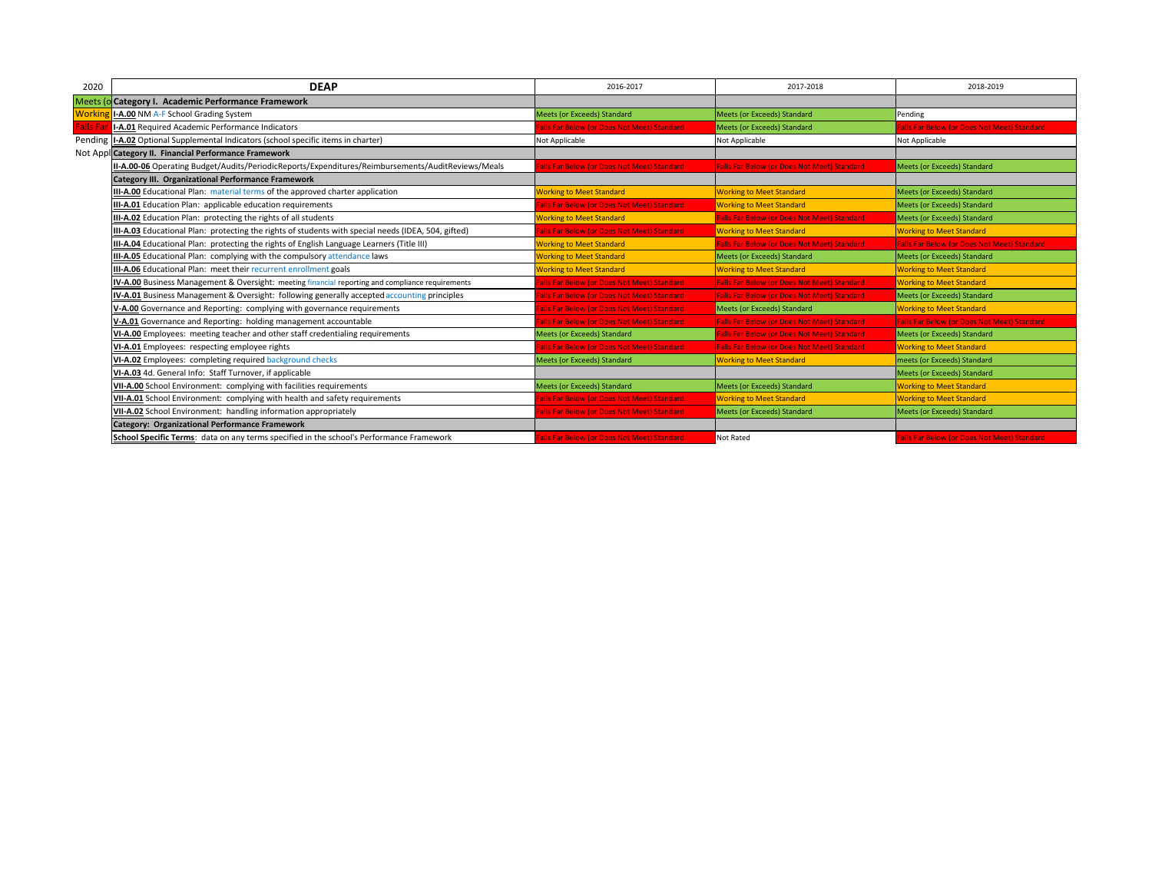| 2020           | <b>DEAP</b>                                                                                         | 2016-2017                                  | 2017-2018                                          | 2018-2019                                          |
|----------------|-----------------------------------------------------------------------------------------------------|--------------------------------------------|----------------------------------------------------|----------------------------------------------------|
|                | Meets (o Category I. Academic Performance Framework                                                 |                                            |                                                    |                                                    |
| <b>Working</b> | I-A.00 NM A-F School Grading System                                                                 | Meets (or Exceeds) Standard                | <b>Meets (or Exceeds) Standard</b>                 | Pending                                            |
| Falls Fa       | I-A.01 Required Academic Performance Indicators                                                     | alls Far Below (or Does Not Meet) Standard | <b>Meets (or Exceeds) Standard</b>                 | alls Far Below (or Does Not Meet) Standard         |
|                | Pending   I-A.02 Optional Supplemental Indicators (school specific items in charter)                | Not Applicable                             | Not Applicable                                     | Not Applicable                                     |
|                | Not Appl Category II. Financial Performance Framework                                               |                                            |                                                    |                                                    |
|                | II-A.00-06 Operating Budget/Audits/PeriodicReports/Expenditures/Reimbursements/AuditReviews/Meals   | alls Far Below (or Does Not Meet) Standard | Falls Far Below (or Does Not Meet) Standard        | Meets (or Exceeds) Standard                        |
|                | Category III. Organizational Performance Framework                                                  |                                            |                                                    |                                                    |
|                | III-A.00 Educational Plan: material terms of the approved charter application                       | <b>Norking to Meet Standard</b>            | <b>Working to Meet Standard</b>                    | <b>Meets (or Exceeds) Standard</b>                 |
|                | III-A.01 Education Plan: applicable education requirements                                          | alls Far Below (or Does Not Meet) Standard | <b>Working to Meet Standard</b>                    | <b>Meets (or Exceeds) Standard</b>                 |
|                | III-A.02 Education Plan: protecting the rights of all students                                      | <b>Working to Meet Standard</b>            | <b>Falls Far Below (or Does Not Meet) Standard</b> | Meets (or Exceeds) Standard                        |
|                | III-A.03 Educational Plan: protecting the rights of students with special needs (IDEA, 504, gifted) | alls Far Below (or Does Not Meet) Standard | <b>Working to Meet Standard</b>                    | <b>Working to Meet Standard</b>                    |
|                | III-A.04 Educational Plan: protecting the rights of English Language Learners (Title III)           | <b>Working to Meet Standard</b>            | Falls Far Below (or Does Not Meet) Standard        | <b>Falls Far Below (or Does Not Meet) Standard</b> |
|                | <b>III-A.05</b> Educational Plan: complying with the compulsory attendance laws                     | <b>Working to Meet Standard</b>            | <b>Meets (or Exceeds) Standard</b>                 | <b>Meets (or Exceeds) Standard</b>                 |
|                | III-A.06 Educational Plan: meet their recurrent enrollment goals                                    | <b>Norking to Meet Standard</b>            | <b>Working to Meet Standard</b>                    | <b>Working to Meet Standard</b>                    |
|                | IV-A.00 Business Management & Oversight: meeting financial reporting and compliance requirements    | alls Far Below (or Does Not Meet) Standard | <b>Falls Far Below (or Does Not Meet) Standard</b> | <b>Working to Meet Standard</b>                    |
|                | IV-A.01 Business Management & Oversight: following generally accepted accounting principles         | alls Far Below (or Does Not Meet) Standard | <b>Falls Far Below (or Does Not Meet) Standard</b> | Meets (or Exceeds) Standard                        |
|                | V-A.00 Governance and Reporting: complying with governance requirements                             | alls Far Below (or Does Not Meet) Standard | Meets (or Exceeds) Standard                        | <b>Working to Meet Standard</b>                    |
|                | V-A.01 Governance and Reporting: holding management accountable                                     | alls Far Below (or Does Not Meet) Standard | <b>Falls Far Below (or Does Not Meet) Standard</b> | Falls Far Below (or Does Not Meet) Standard        |
|                | VI-A.00 Employees: meeting teacher and other staff credentialing requirements                       | Meets (or Exceeds) Standard                | Falls Far Below (or Does Not Meet) Standard        | <b>Meets (or Exceeds) Standard</b>                 |
|                | VI-A.01 Employees: respecting employee rights                                                       | alls Far Below (or Does Not Meet) Standard | <b>Falls Far Below (or Does Not Meet) Standard</b> | <b>Working to Meet Standard</b>                    |
|                | VI-A.02 Employees: completing required background checks                                            | Meets (or Exceeds) Standard                | <b>Working to Meet Standard</b>                    | meets (or Exceeds) Standard                        |
|                | VI-A.03 4d. General Info: Staff Turnover, if applicable                                             |                                            |                                                    | <b>Meets (or Exceeds) Standard</b>                 |
|                | VII-A.00 School Environment: complying with facilities requirements                                 | Meets (or Exceeds) Standard                | <b>Meets (or Exceeds) Standard</b>                 | <b>Working to Meet Standard</b>                    |
|                | VII-A.01 School Environment: complying with health and safety requirements                          | alls Far Below (or Does Not Meet) Standard | <b>Working to Meet Standard</b>                    | <b>Working to Meet Standard</b>                    |
|                | VII-A.02 School Environment: handling information appropriately                                     | alls Far Below (or Does Not Meet) Standard | <b>Meets (or Exceeds) Standard</b>                 | <b>Meets (or Exceeds) Standard</b>                 |
|                | <b>Category: Organizational Performance Framework</b>                                               |                                            |                                                    |                                                    |
|                | School Specific Terms: data on any terms specified in the school's Performance Framework            | alls Far Below (or Does Not Meet) Standard | Not Rated                                          | alls Far Below (or Does Not Meet) Standard         |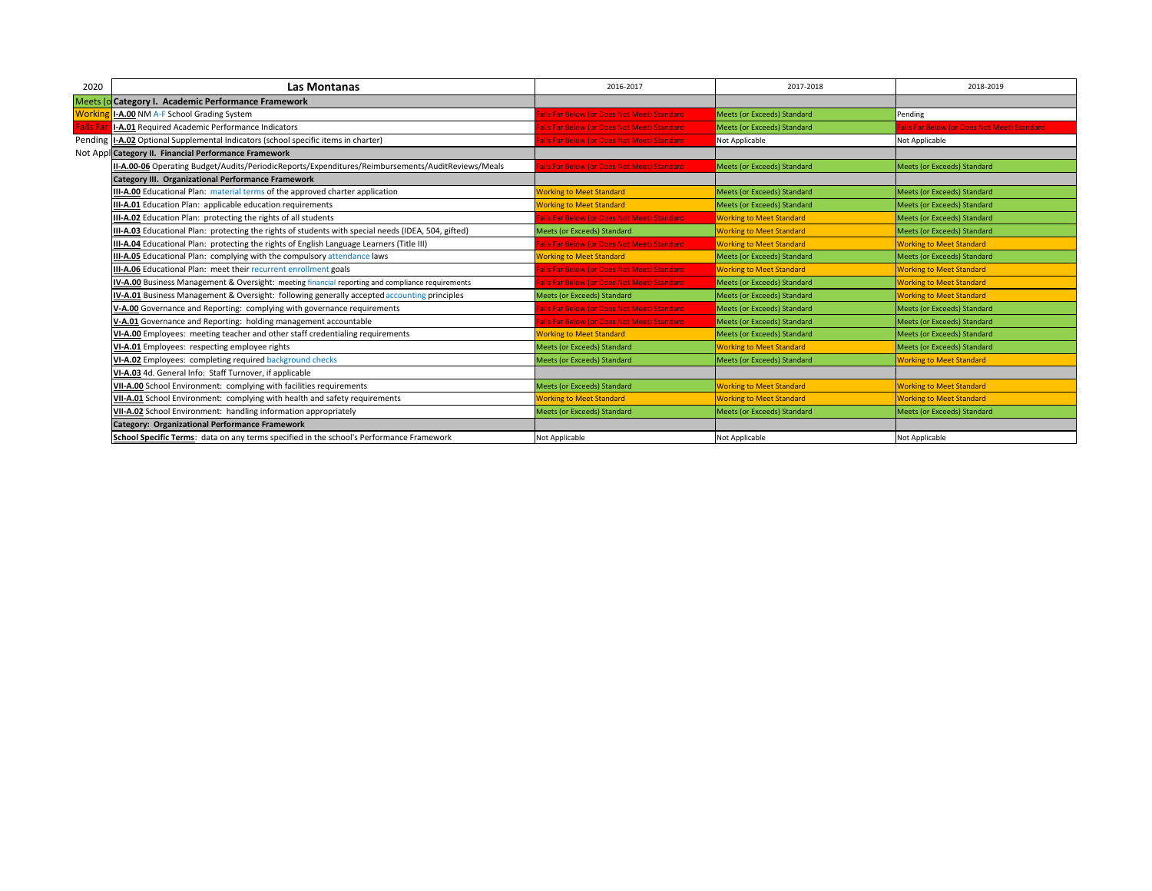| 2020            | <b>Las Montanas</b>                                                                                 | 2016-2017                                  | 2017-2018                          | 2018-2019                                   |
|-----------------|-----------------------------------------------------------------------------------------------------|--------------------------------------------|------------------------------------|---------------------------------------------|
|                 | Meets (o Category I. Academic Performance Framework                                                 |                                            |                                    |                                             |
| Workir          | I-A.00 NM A-F School Grading System                                                                 | alls Far Below (or Does Not Meet) Standard | <b>Meets (or Exceeds) Standard</b> | Pending                                     |
| <b>Falls Fa</b> | I-A.01 Required Academic Performance Indicators                                                     | alls Far Below (or Does Not Meet) Standard | <b>Meets (or Exceeds) Standard</b> | Falls Far Below (or Does Not Meet) Standard |
|                 | Pending  I-A.02 Optional Supplemental Indicators (school specific items in charter)                 | alls Far Below (or Does Not Meet) Standard | Not Applicable                     | Not Applicable                              |
|                 | Not Appl Category II. Financial Performance Framework                                               |                                            |                                    |                                             |
|                 | II-A.00-06 Operating Budget/Audits/PeriodicReports/Expenditures/Reimbursements/AuditReviews/Meals   | alls Far Below (or Does Not Meet) Standard | Meets (or Exceeds) Standard        | Meets (or Exceeds) Standard                 |
|                 | Category III. Organizational Performance Framework                                                  |                                            |                                    |                                             |
|                 | III-A.00 Educational Plan: material terms of the approved charter application                       | <b>Norking to Meet Standard</b>            | Meets (or Exceeds) Standard        | Meets (or Exceeds) Standard                 |
|                 | III-A.01 Education Plan: applicable education requirements                                          | <b>Working to Meet Standard</b>            | <b>Meets (or Exceeds) Standard</b> | Meets (or Exceeds) Standard                 |
|                 | III-A.02 Education Plan: protecting the rights of all students                                      | alls Far Below (or Does Not Meet) Standard | <b>Working to Meet Standard</b>    | <b>Meets (or Exceeds) Standard</b>          |
|                 | III-A.03 Educational Plan: protecting the rights of students with special needs (IDEA, 504, gifted) | Meets (or Exceeds) Standard                | <b>Working to Meet Standard</b>    | Meets (or Exceeds) Standard                 |
|                 | III-A.04 Educational Plan: protecting the rights of English Language Learners (Title III)           | alls Far Below (or Does Not Meet) Standard | <b>Working to Meet Standard</b>    | <b>Working to Meet Standard</b>             |
|                 | III-A.05 Educational Plan: complying with the compulsory attendance laws                            | <b>Norking to Meet Standard</b>            | Meets (or Exceeds) Standard        | Meets (or Exceeds) Standard                 |
|                 | <b>III-A.06</b> Educational Plan: meet their recurrent enrollment goals                             | alls Far Below (or Does Not Meet) Standard | <b>Working to Meet Standard</b>    | <b>Working to Meet Standard</b>             |
|                 | IV-A.00 Business Management & Oversight: meeting financial reporting and compliance requirements    | alls Far Below (or Does Not Meet) Standard | Meets (or Exceeds) Standard        | <b>Working to Meet Standard</b>             |
|                 | IV-A.01 Business Management & Oversight: following generally accepted accounting principles         | Meets (or Exceeds) Standard                | <b>Meets (or Exceeds) Standard</b> | <b>Working to Meet Standard</b>             |
|                 | V-A.00 Governance and Reporting: complying with governance requirements                             | alls Far Below (or Does Not Meet) Standard | <b>Meets (or Exceeds) Standard</b> | <b>Meets (or Exceeds) Standard</b>          |
|                 | V-A.01 Governance and Reporting: holding management accountable                                     | alls Far Below (or Does Not Meet) Standard | Meets (or Exceeds) Standard        | Meets (or Exceeds) Standard                 |
|                 | VI-A.00 Employees: meeting teacher and other staff credentialing requirements                       | <b>Working to Meet Standard</b>            | Meets (or Exceeds) Standard        | <b>Meets (or Exceeds) Standard</b>          |
|                 | VI-A.01 Employees: respecting employee rights                                                       | <b>Meets (or Exceeds) Standard</b>         | <b>Working to Meet Standard</b>    | Meets (or Exceeds) Standard                 |
|                 | VI-A.02 Employees: completing required background checks                                            | Meets (or Exceeds) Standard                | Meets (or Exceeds) Standard        | <b>Working to Meet Standard</b>             |
|                 | VI-A.03 4d. General Info: Staff Turnover, if applicable                                             |                                            |                                    |                                             |
|                 | VII-A.00 School Environment: complying with facilities requirements                                 | Meets (or Exceeds) Standard                | <b>Working to Meet Standard</b>    | <b>Working to Meet Standard</b>             |
|                 | VII-A.01 School Environment: complying with health and safety requirements                          | <b>Norking to Meet Standard</b>            | <b>Working to Meet Standard</b>    | <b>Working to Meet Standard</b>             |
|                 | VII-A.02 School Environment: handling information appropriately                                     | <b>Meets (or Exceeds) Standard</b>         | <b>Meets (or Exceeds) Standard</b> | <b>Meets (or Exceeds) Standard</b>          |
|                 | Category: Organizational Performance Framework                                                      |                                            |                                    |                                             |
|                 | School Specific Terms: data on any terms specified in the school's Performance Framework            | Not Applicable                             | Not Applicable                     | Not Applicable                              |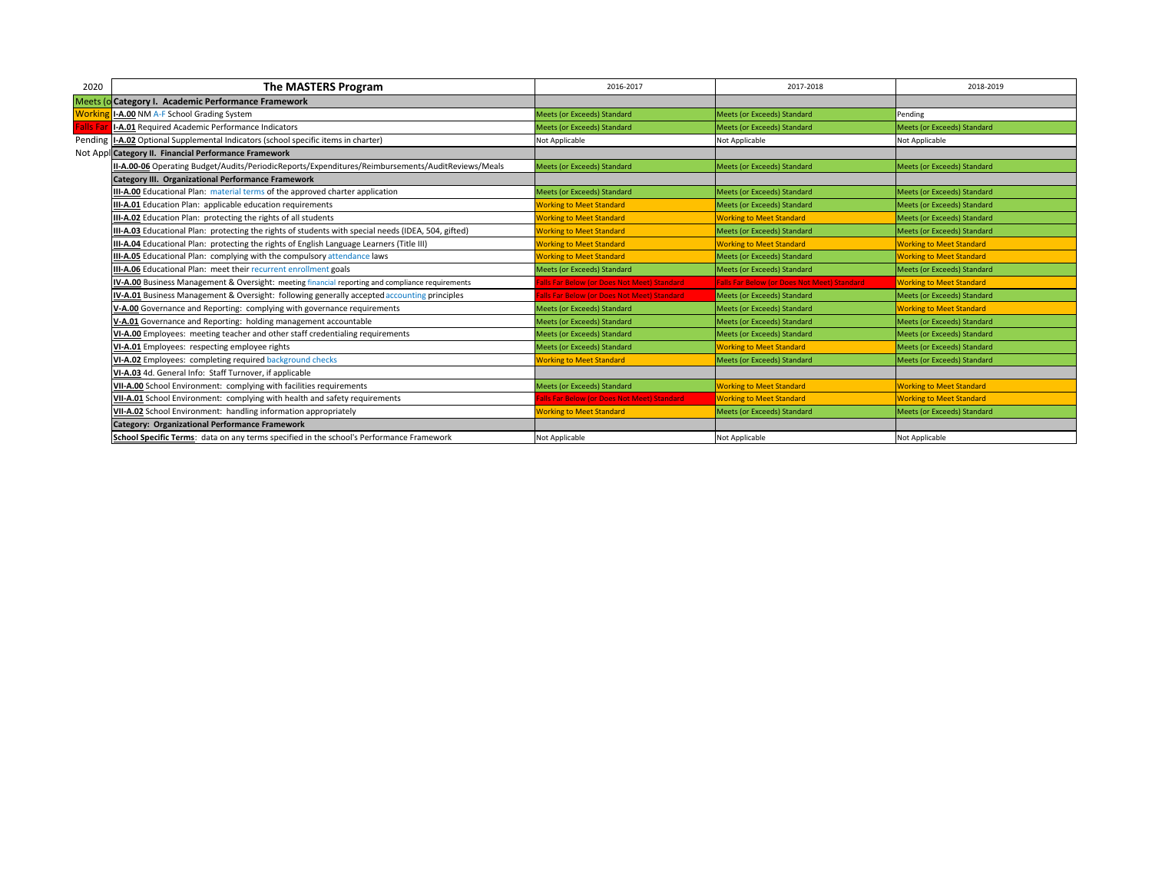| 2020            | The MASTERS Program                                                                                 | 2016-2017                                  | 2017-2018                                          | 2018-2019                          |
|-----------------|-----------------------------------------------------------------------------------------------------|--------------------------------------------|----------------------------------------------------|------------------------------------|
|                 | Meets (o Category I. Academic Performance Framework                                                 |                                            |                                                    |                                    |
| Workir          | I-A.00 NM A-F School Grading System                                                                 | Meets (or Exceeds) Standard                | Meets (or Exceeds) Standard                        | Pending                            |
| <b>Falls Fa</b> | I-A.01 Required Academic Performance Indicators                                                     | <b>Meets (or Exceeds) Standard</b>         | <b>Meets (or Exceeds) Standard</b>                 | <b>Meets (or Exceeds) Standard</b> |
|                 | Pending  I-A.02 Optional Supplemental Indicators (school specific items in charter)                 | Not Applicable                             | Not Applicable                                     | Not Applicable                     |
|                 | Not Appl Category II. Financial Performance Framework                                               |                                            |                                                    |                                    |
|                 | II-A.00-06 Operating Budget/Audits/PeriodicReports/Expenditures/Reimbursements/AuditReviews/Meals   | <b>Meets (or Exceeds) Standard</b>         | <b>Meets (or Exceeds) Standard</b>                 | <b>Meets (or Exceeds) Standard</b> |
|                 | <b>Category III. Organizational Performance Framework</b>                                           |                                            |                                                    |                                    |
|                 | III-A.00 Educational Plan: material terms of the approved charter application                       | Meets (or Exceeds) Standard                | Meets (or Exceeds) Standard                        | <b>Meets (or Exceeds) Standard</b> |
|                 | III-A.01 Education Plan: applicable education requirements                                          | <b>Working to Meet Standard</b>            | Meets (or Exceeds) Standard                        | <b>Meets (or Exceeds) Standard</b> |
|                 | III-A.02 Education Plan: protecting the rights of all students                                      | <b>Working to Meet Standard</b>            | <b>Working to Meet Standard</b>                    | Meets (or Exceeds) Standard        |
|                 | III-A.03 Educational Plan: protecting the rights of students with special needs (IDEA, 504, gifted) | <b>Working to Meet Standard</b>            | Meets (or Exceeds) Standard                        | <b>Meets (or Exceeds) Standard</b> |
|                 | III-A.04 Educational Plan: protecting the rights of English Language Learners (Title III)           | <b>Working to Meet Standard</b>            | <b>Working to Meet Standard</b>                    | <b>Working to Meet Standard</b>    |
|                 | <b>III-A.05</b> Educational Plan: complying with the compulsory attendance laws                     | <b>Working to Meet Standard</b>            | Meets (or Exceeds) Standard                        | <b>Working to Meet Standard</b>    |
|                 | III-A.06 Educational Plan: meet their recurrent enrollment goals                                    | Meets (or Exceeds) Standard                | Meets (or Exceeds) Standard                        | Meets (or Exceeds) Standard        |
|                 | IV-A.00 Business Management & Oversight: meeting financial reporting and compliance requirements    | alls Far Below (or Does Not Meet) Standard | <b>Falls Far Below (or Does Not Meet) Standard</b> | <b>Working to Meet Standard</b>    |
|                 | <b>IV-A.01</b> Business Management & Oversight: following generally accepted accounting principles  | alls Far Below (or Does Not Meet) Standard | Meets (or Exceeds) Standard                        | Meets (or Exceeds) Standard        |
|                 | V-A.00 Governance and Reporting: complying with governance requirements                             | Meets (or Exceeds) Standard                | <b>Meets (or Exceeds) Standard</b>                 | <b>Working to Meet Standard</b>    |
|                 | V-A.01 Governance and Reporting: holding management accountable                                     | Meets (or Exceeds) Standard                | <b>Meets (or Exceeds) Standard</b>                 | <b>Meets (or Exceeds) Standard</b> |
|                 | VI-A.00 Employees: meeting teacher and other staff credentialing requirements                       | Meets (or Exceeds) Standard                | Meets (or Exceeds) Standard                        | Meets (or Exceeds) Standard        |
|                 | VI-A.01 Employees: respecting employee rights                                                       | Meets (or Exceeds) Standard                | <b>Working to Meet Standard</b>                    | <b>Meets (or Exceeds) Standard</b> |
|                 | VI-A.02 Employees: completing required background checks                                            | <b>Working to Meet Standard</b>            | <b>Meets (or Exceeds) Standard</b>                 | Meets (or Exceeds) Standard        |
|                 | VI-A.03 4d. General Info: Staff Turnover, if applicable                                             |                                            |                                                    |                                    |
|                 | VII-A.00 School Environment: complying with facilities requirements                                 | Meets (or Exceeds) Standard                | <b>Working to Meet Standard</b>                    | <b>Working to Meet Standard</b>    |
|                 | VII-A.01 School Environment: complying with health and safety requirements                          | alls Far Below (or Does Not Meet) Standard | <b>Working to Meet Standard</b>                    | <b>Working to Meet Standard</b>    |
|                 | VII-A.02 School Environment: handling information appropriately                                     | <b>Working to Meet Standard</b>            | Meets (or Exceeds) Standard                        | <b>Meets (or Exceeds) Standard</b> |
|                 | <b>Category: Organizational Performance Framework</b>                                               |                                            |                                                    |                                    |
|                 | School Specific Terms: data on any terms specified in the school's Performance Framework            | Not Applicable                             | Not Applicable                                     | Not Applicable                     |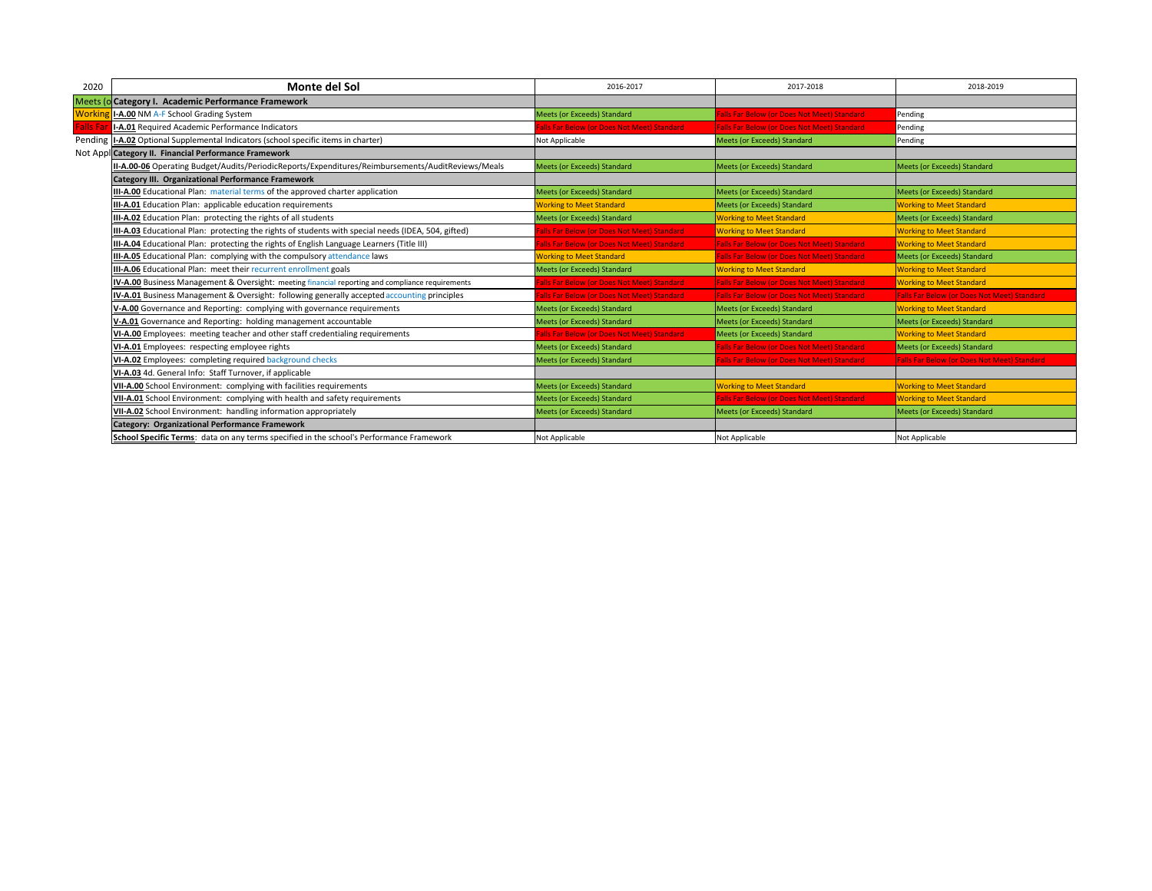| 2020            | Monte del Sol                                                                                       | 2016-2017                                  | 2017-2018                                          | 2018-2019                                          |
|-----------------|-----------------------------------------------------------------------------------------------------|--------------------------------------------|----------------------------------------------------|----------------------------------------------------|
|                 | Meets (o Category I. Academic Performance Framework                                                 |                                            |                                                    |                                                    |
| Workir          | I-A.00 NM A-F School Grading System                                                                 | Meets (or Exceeds) Standard                | alls Far Below (or Does Not Meet) Standard         | Pending                                            |
| <b>Falls Fa</b> | I-A.01 Required Academic Performance Indicators                                                     | alls Far Below (or Does Not Meet) Standard | <b>Falls Far Below (or Does Not Meet) Standard</b> | Pending                                            |
|                 | Pending  I-A.02 Optional Supplemental Indicators (school specific items in charter)                 | Not Applicable                             | Meets (or Exceeds) Standard                        | Pending                                            |
|                 | Not Appl Category II. Financial Performance Framework                                               |                                            |                                                    |                                                    |
|                 | II-A.00-06 Operating Budget/Audits/PeriodicReports/Expenditures/Reimbursements/AuditReviews/Meals   | <b>Meets (or Exceeds) Standard</b>         | Meets (or Exceeds) Standard                        | <b>Meets (or Exceeds) Standard</b>                 |
|                 | Category III. Organizational Performance Framework                                                  |                                            |                                                    |                                                    |
|                 | III-A.00 Educational Plan: material terms of the approved charter application                       | Meets (or Exceeds) Standard                | Meets (or Exceeds) Standard                        | Meets (or Exceeds) Standard                        |
|                 | III-A.01 Education Plan: applicable education requirements                                          | <b>Working to Meet Standard</b>            | <b>Meets (or Exceeds) Standard</b>                 | <b>Working to Meet Standard</b>                    |
|                 | III-A.02 Education Plan: protecting the rights of all students                                      | <b>Meets (or Exceeds) Standard</b>         | <b>Working to Meet Standard</b>                    | <b>Meets (or Exceeds) Standard</b>                 |
|                 | III-A.03 Educational Plan: protecting the rights of students with special needs (IDEA, 504, gifted) | alls Far Below (or Does Not Meet) Standard | <b>Working to Meet Standard</b>                    | <b>Working to Meet Standard</b>                    |
|                 | III-A.04 Educational Plan: protecting the rights of English Language Learners (Title III)           | alls Far Below (or Does Not Meet) Standard | <b>Falls Far Below (or Does Not Meet) Standard</b> | <b>Working to Meet Standard</b>                    |
|                 | III-A.05 Educational Plan: complying with the compulsory attendance laws                            | <b>Working to Meet Standard</b>            | <b>Falls Far Below (or Does Not Meet) Standard</b> | Meets (or Exceeds) Standard                        |
|                 | <b>III-A.06</b> Educational Plan: meet their recurrent enrollment goals                             | <b>Meets (or Exceeds) Standard</b>         | <b>Working to Meet Standard</b>                    | <b>Working to Meet Standard</b>                    |
|                 | IV-A.00 Business Management & Oversight: meeting financial reporting and compliance requirements    | alls Far Below (or Does Not Meet) Standard | <b>Falls Far Below (or Does Not Meet) Standard</b> | <b>Working to Meet Standard</b>                    |
|                 | IV-A.01 Business Management & Oversight: following generally accepted accounting principles         | alls Far Below (or Does Not Meet) Standard | <b>Falls Far Below (or Does Not Meet) Standard</b> | <b>Falls Far Below (or Does Not Meet) Standard</b> |
|                 | V-A.00 Governance and Reporting: complying with governance requirements                             | Meets (or Exceeds) Standard                | Meets (or Exceeds) Standard                        | <b>Working to Meet Standard</b>                    |
|                 | V-A.01 Governance and Reporting: holding management accountable                                     | Meets (or Exceeds) Standard                | Meets (or Exceeds) Standard                        | Meets (or Exceeds) Standard                        |
|                 | VI-A.00 Employees: meeting teacher and other staff credentialing requirements                       | alls Far Below (or Does Not Meet) Standard | <b>Meets (or Exceeds) Standard</b>                 | <b>Working to Meet Standard</b>                    |
|                 | VI-A.01 Employees: respecting employee rights                                                       | Meets (or Exceeds) Standard                | Falls Far Below (or Does Not Meet) Standard        | Meets (or Exceeds) Standard                        |
|                 | VI-A.02 Employees: completing required background checks                                            | Meets (or Exceeds) Standard                | Falls Far Below (or Does Not Meet) Standard        | <b>Falls Far Below (or Does Not Meet) Standard</b> |
|                 | VI-A.03 4d. General Info: Staff Turnover, if applicable                                             |                                            |                                                    |                                                    |
|                 | VII-A.00 School Environment: complying with facilities requirements                                 | <b>Meets (or Exceeds) Standard</b>         | <b>Working to Meet Standard</b>                    | <b>Working to Meet Standard</b>                    |
|                 | VII-A.01 School Environment: complying with health and safety requirements                          | Meets (or Exceeds) Standard                | Falls Far Below (or Does Not Meet) Standard        | <b>Working to Meet Standard</b>                    |
|                 | VII-A.02 School Environment: handling information appropriately                                     | <b>Meets (or Exceeds) Standard</b>         | <b>Meets (or Exceeds) Standard</b>                 | <b>Meets (or Exceeds) Standard</b>                 |
|                 | <b>Category: Organizational Performance Framework</b>                                               |                                            |                                                    |                                                    |
|                 | School Specific Terms: data on any terms specified in the school's Performance Framework            | Not Applicable                             | Not Applicable                                     | Not Applicable                                     |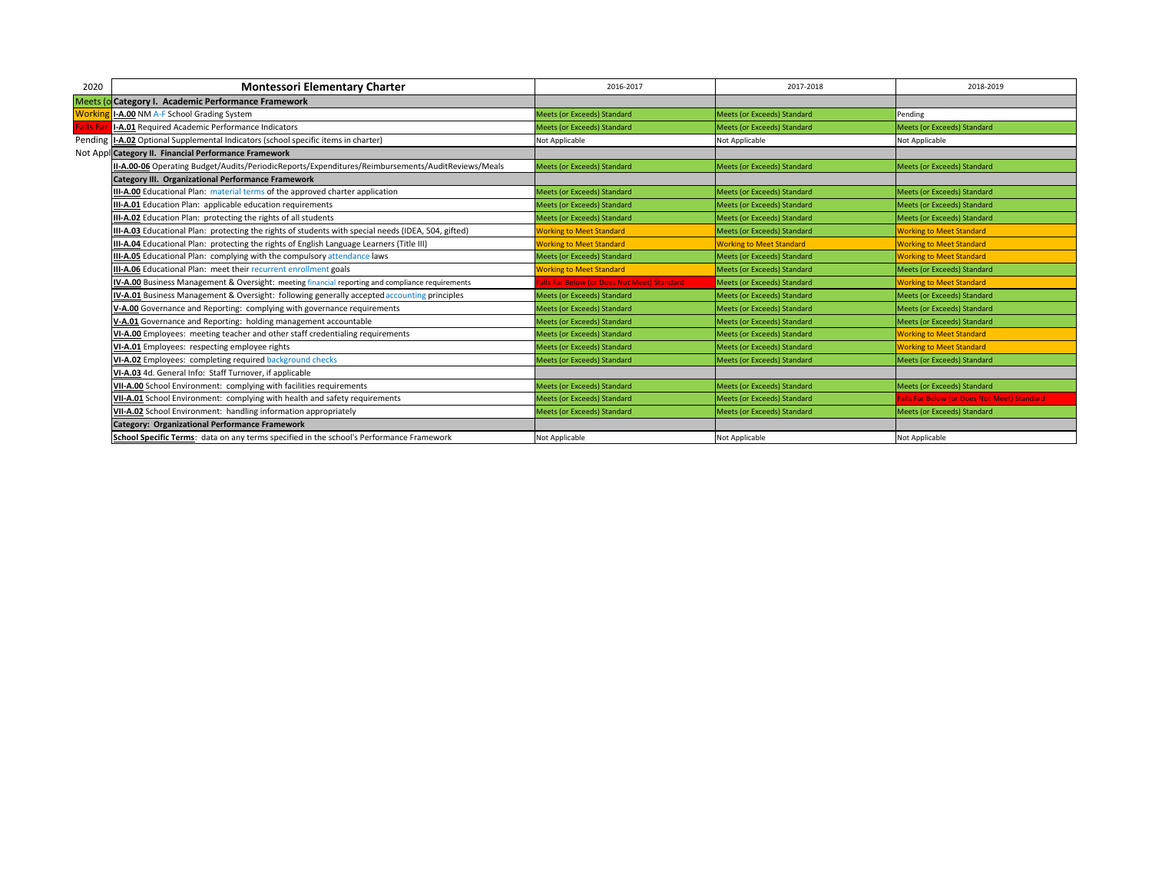| 2020            | <b>Montessori Elementary Charter</b>                                                                | 2016-2017                                  | 2017-2018                          | 2018-2019                                   |
|-----------------|-----------------------------------------------------------------------------------------------------|--------------------------------------------|------------------------------------|---------------------------------------------|
|                 | Meets (o Category I. Academic Performance Framework                                                 |                                            |                                    |                                             |
| <b>Workin</b>   | I-A.00 NM A-F School Grading System                                                                 | <b>Meets (or Exceeds) Standard</b>         | <b>Meets (or Exceeds) Standard</b> | Pending                                     |
| <b>Falls Fa</b> | I-A.01 Required Academic Performance Indicators                                                     | Meets (or Exceeds) Standard                | Meets (or Exceeds) Standard        | Meets (or Exceeds) Standard                 |
|                 | Pending I-A.02 Optional Supplemental Indicators (school specific items in charter)                  | Not Applicable                             | Not Applicable                     | Not Applicable                              |
|                 | Not Appl Category II. Financial Performance Framework                                               |                                            |                                    |                                             |
|                 | II-A.00-06 Operating Budget/Audits/PeriodicReports/Expenditures/Reimbursements/AuditReviews/Meals   | <b>Meets (or Exceeds) Standard</b>         | Meets (or Exceeds) Standard        | Meets (or Exceeds) Standard                 |
|                 | Category III. Organizational Performance Framework                                                  |                                            |                                    |                                             |
|                 | III-A.00 Educational Plan: material terms of the approved charter application                       | Meets (or Exceeds) Standard                | Meets (or Exceeds) Standard        | Meets (or Exceeds) Standard                 |
|                 | III-A.01 Education Plan: applicable education requirements                                          | Meets (or Exceeds) Standard                | Meets (or Exceeds) Standard        | Meets (or Exceeds) Standard                 |
|                 | III-A.02 Education Plan: protecting the rights of all students                                      | <b>Meets (or Exceeds) Standard</b>         | <b>Meets (or Exceeds) Standard</b> | Meets (or Exceeds) Standard                 |
|                 | III-A.03 Educational Plan: protecting the rights of students with special needs (IDEA, 504, gifted) | <b>Working to Meet Standard</b>            | Meets (or Exceeds) Standard        | <b>Working to Meet Standard</b>             |
|                 | III-A.04 Educational Plan: protecting the rights of English Language Learners (Title III)           | <b>Working to Meet Standard</b>            | <b>Working to Meet Standard</b>    | <b>Working to Meet Standard</b>             |
|                 | III-A.05 Educational Plan: complying with the compulsory attendance laws                            | Meets (or Exceeds) Standard                | <b>Meets (or Exceeds) Standard</b> | <b>Working to Meet Standard</b>             |
|                 | III-A.06 Educational Plan: meet their recurrent enrollment goals                                    | <b>Norking to Meet Standard</b>            | Meets (or Exceeds) Standard        | Meets (or Exceeds) Standard                 |
|                 | IV-A.00 Business Management & Oversight: meeting financial reporting and compliance requirements    | alls Far Below (or Does Not Meet) Standard | Meets (or Exceeds) Standard        | <b>Working to Meet Standard</b>             |
|                 | IV-A.01 Business Management & Oversight: following generally accepted accounting principles         | <b>Meets (or Exceeds) Standard</b>         | Meets (or Exceeds) Standard        | Meets (or Exceeds) Standard                 |
|                 | V-A.00 Governance and Reporting: complying with governance requirements                             | <b>Meets (or Exceeds) Standard</b>         | <b>Meets (or Exceeds) Standard</b> | Meets (or Exceeds) Standard                 |
|                 | V-A.01 Governance and Reporting: holding management accountable                                     | Meets (or Exceeds) Standard                | Meets (or Exceeds) Standard        | Meets (or Exceeds) Standard                 |
|                 | VI-A.00 Employees: meeting teacher and other staff credentialing requirements                       | <b>Meets (or Exceeds) Standard</b>         | <b>Meets (or Exceeds) Standard</b> | <b>Working to Meet Standard</b>             |
|                 | VI-A.01 Employees: respecting employee rights                                                       | <b>Meets (or Exceeds) Standard</b>         | <b>Meets (or Exceeds) Standard</b> | <b>Working to Meet Standard</b>             |
|                 | VI-A.02 Employees: completing required background checks                                            | Meets (or Exceeds) Standard                | Meets (or Exceeds) Standard        | Meets (or Exceeds) Standard                 |
|                 | VI-A.03 4d. General Info: Staff Turnover, if applicable                                             |                                            |                                    |                                             |
|                 | VII-A.00 School Environment: complying with facilities requirements                                 | <b>Meets (or Exceeds) Standard</b>         | Meets (or Exceeds) Standard        | Meets (or Exceeds) Standard                 |
|                 | VII-A.01 School Environment: complying with health and safety requirements                          | <b>Meets (or Exceeds) Standard</b>         | Meets (or Exceeds) Standard        | Falls Far Below (or Does Not Meet) Standard |
|                 | VII-A.02 School Environment: handling information appropriately                                     | <b>Meets (or Exceeds) Standard</b>         | <b>Meets (or Exceeds) Standard</b> | Meets (or Exceeds) Standard                 |
|                 | Category: Organizational Performance Framework                                                      |                                            |                                    |                                             |
|                 | School Specific Terms: data on any terms specified in the school's Performance Framework            | Not Applicable                             | Not Applicable                     | Not Applicable                              |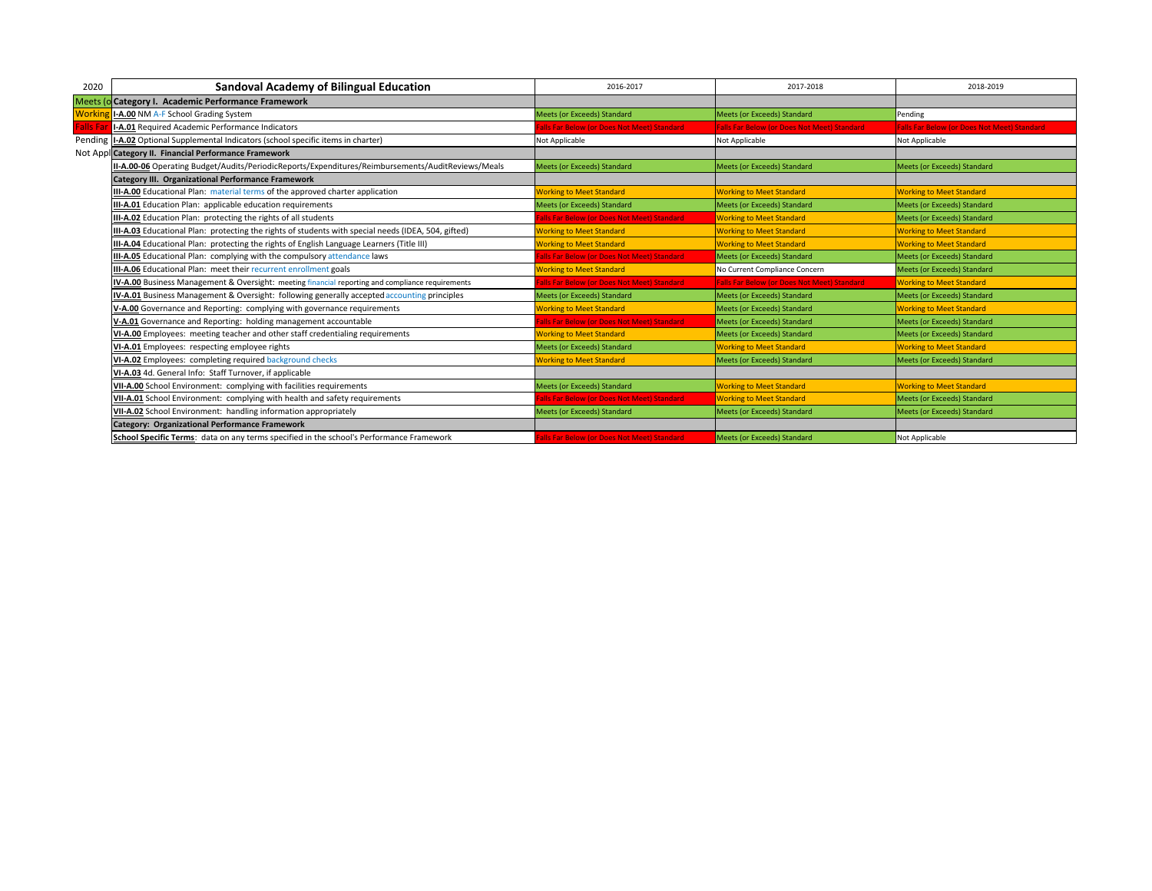| 2020             | <b>Sandoval Academy of Bilingual Education</b>                                                      | 2016-2017                                  | 2017-2018                                          | 2018-2019                                          |
|------------------|-----------------------------------------------------------------------------------------------------|--------------------------------------------|----------------------------------------------------|----------------------------------------------------|
|                  | Meets (o Category I. Academic Performance Framework                                                 |                                            |                                                    |                                                    |
| <b>Workir</b>    | I-A.00 NM A-F School Grading System                                                                 | <b>Meets (or Exceeds) Standard</b>         | Meets (or Exceeds) Standard                        | Pending                                            |
| <b>Falls Far</b> | I-A.01 Required Academic Performance Indicators                                                     | alls Far Below (or Does Not Meet) Standard | <b>Falls Far Below (or Does Not Meet) Standard</b> | <b>Falls Far Below (or Does Not Meet) Standard</b> |
|                  | Pending   I-A.02 Optional Supplemental Indicators (school specific items in charter)                | Not Applicable                             | Not Applicable                                     | Not Applicable                                     |
|                  | Not Appl Category II. Financial Performance Framework                                               |                                            |                                                    |                                                    |
|                  | II-A.00-06 Operating Budget/Audits/PeriodicReports/Expenditures/Reimbursements/AuditReviews/Meals   | <b>Meets (or Exceeds) Standard</b>         | <b>Meets (or Exceeds) Standard</b>                 | <b>Meets (or Exceeds) Standard</b>                 |
|                  | Category III. Organizational Performance Framework                                                  |                                            |                                                    |                                                    |
|                  | III-A.00 Educational Plan: material terms of the approved charter application                       | <b>Norking to Meet Standard</b>            | <b>Working to Meet Standard</b>                    | <b>Working to Meet Standard</b>                    |
|                  | III-A.01 Education Plan: applicable education requirements                                          | <b>Meets (or Exceeds) Standard</b>         | <b>Meets (or Exceeds) Standard</b>                 | <b>Meets (or Exceeds) Standard</b>                 |
|                  | III-A.02 Education Plan: protecting the rights of all students                                      | alls Far Below (or Does Not Meet) Standard | <b>Working to Meet Standard</b>                    | Meets (or Exceeds) Standard                        |
|                  | III-A.03 Educational Plan: protecting the rights of students with special needs (IDEA, 504, gifted) | <b>Working to Meet Standard</b>            | <b>Working to Meet Standard</b>                    | <b>Working to Meet Standard</b>                    |
|                  | III-A.04 Educational Plan: protecting the rights of English Language Learners (Title III)           | <b>Working to Meet Standard</b>            | <b>Working to Meet Standard</b>                    | <b>Working to Meet Standard</b>                    |
|                  | III-A.05 Educational Plan: complying with the compulsory attendance laws                            | alls Far Below (or Does Not Meet) Standard | Meets (or Exceeds) Standard                        | Meets (or Exceeds) Standard                        |
|                  | III-A.06 Educational Plan: meet their recurrent enrollment goals                                    | <b>Norking to Meet Standard</b>            | No Current Compliance Concern                      | <b>Meets (or Exceeds) Standard</b>                 |
|                  | IV-A.00 Business Management & Oversight: meeting financial reporting and compliance requirements    | alls Far Below (or Does Not Meet) Standard | <b>Falls Far Below (or Does Not Meet) Standard</b> | <b>Working to Meet Standard</b>                    |
|                  | IV-A.01 Business Management & Oversight: following generally accepted accounting principles         | Meets (or Exceeds) Standard                | Meets (or Exceeds) Standard                        | <b>Meets (or Exceeds) Standard</b>                 |
|                  | V-A.00 Governance and Reporting: complying with governance requirements                             | <b>Norking to Meet Standard</b>            | Meets (or Exceeds) Standard                        | <b>Working to Meet Standard</b>                    |
|                  | V-A.01 Governance and Reporting: holding management accountable                                     | alls Far Below (or Does Not Meet) Standard | Meets (or Exceeds) Standard                        | Meets (or Exceeds) Standard                        |
|                  | VI-A.00 Employees: meeting teacher and other staff credentialing requirements                       | <b>Working to Meet Standard</b>            | Meets (or Exceeds) Standard                        | <b>Meets (or Exceeds) Standard</b>                 |
|                  | VI-A.01 Employees: respecting employee rights                                                       | Meets (or Exceeds) Standard                | <b>Working to Meet Standard</b>                    | <b>Working to Meet Standard</b>                    |
|                  | VI-A.02 Employees: completing required background checks                                            | <b>Working to Meet Standard</b>            | Meets (or Exceeds) Standard                        | Meets (or Exceeds) Standard                        |
|                  | VI-A.03 4d. General Info: Staff Turnover, if applicable                                             |                                            |                                                    |                                                    |
|                  | VII-A.00 School Environment: complying with facilities requirements                                 | <b>Meets (or Exceeds) Standard</b>         | <b>Working to Meet Standard</b>                    | <b>Working to Meet Standard</b>                    |
|                  | VII-A.01 School Environment: complying with health and safety requirements                          | alls Far Below (or Does Not Meet) Standard | <b>Working to Meet Standard</b>                    | Meets (or Exceeds) Standard                        |
|                  | VII-A.02 School Environment: handling information appropriately                                     | <b>Meets (or Exceeds) Standard</b>         | Meets (or Exceeds) Standard                        | Meets (or Exceeds) Standard                        |
|                  | <b>Category: Organizational Performance Framework</b>                                               |                                            |                                                    |                                                    |
|                  | School Specific Terms: data on any terms specified in the school's Performance Framework            | alls Far Below (or Does Not Meet) Standard | Meets (or Exceeds) Standard                        | Not Applicable                                     |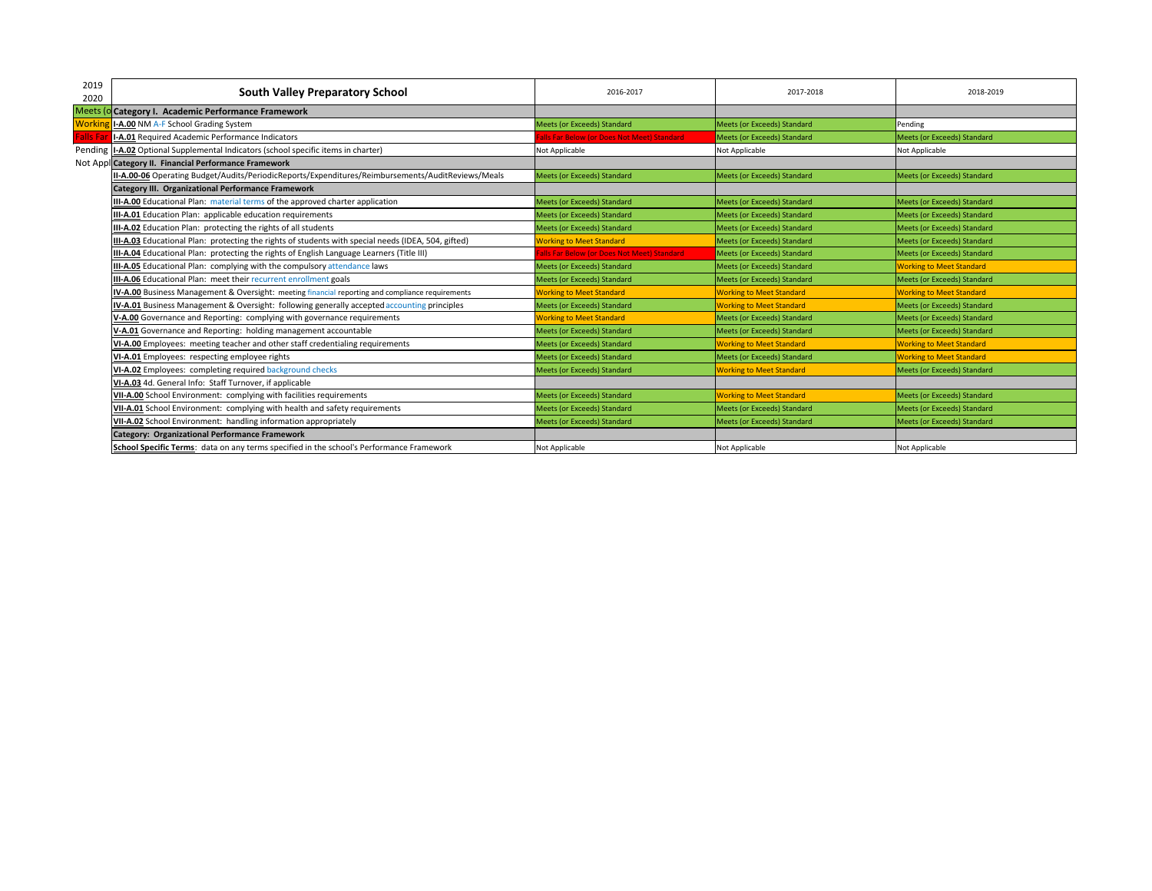| 2019     | South Valley Preparatory School                                                                     | 2016-2017                                  | 2017-2018                       | 2018-2019                          |
|----------|-----------------------------------------------------------------------------------------------------|--------------------------------------------|---------------------------------|------------------------------------|
| 2020     |                                                                                                     |                                            |                                 |                                    |
|          | Meets (o Category I. Academic Performance Framework                                                 |                                            |                                 |                                    |
| Workir   | I-A.00 NM A-F School Grading System                                                                 | <b>Meets (or Exceeds) Standard</b>         | Meets (or Exceeds) Standard     | Pending                            |
| Falls Fa | I-A.01 Required Academic Performance Indicators                                                     | alls Far Below (or Does Not Meet) Standard | Meets (or Exceeds) Standard     | Meets (or Exceeds) Standard        |
|          | Pending I-A.02 Optional Supplemental Indicators (school specific items in charter)                  | Not Applicable                             | Not Applicable                  | Not Applicable                     |
|          | Not Appl Category II. Financial Performance Framework                                               |                                            |                                 |                                    |
|          | II-A.00-06 Operating Budget/Audits/PeriodicReports/Expenditures/Reimbursements/AuditReviews/Meals   | <b>Meets (or Exceeds) Standard</b>         | Meets (or Exceeds) Standard     | <b>Meets (or Exceeds) Standard</b> |
|          | Category III. Organizational Performance Framework                                                  |                                            |                                 |                                    |
|          | III-A.00 Educational Plan: material terms of the approved charter application                       | Meets (or Exceeds) Standard                | Meets (or Exceeds) Standard     | Meets (or Exceeds) Standard        |
|          | III-A.01 Education Plan: applicable education requirements                                          | <b>Meets (or Exceeds) Standard</b>         | Meets (or Exceeds) Standard     | Meets (or Exceeds) Standard        |
|          | III-A.02 Education Plan: protecting the rights of all students                                      | Meets (or Exceeds) Standard                | Meets (or Exceeds) Standard     | Meets (or Exceeds) Standard        |
|          | III-A.03 Educational Plan: protecting the rights of students with special needs (IDEA, 504, gifted) | <b>Working to Meet Standard</b>            | Meets (or Exceeds) Standard     | <b>Meets (or Exceeds) Standard</b> |
|          | III-A.04 Educational Plan: protecting the rights of English Language Learners (Title III)           | alls Far Below (or Does Not Meet) Standard | Meets (or Exceeds) Standard     | Meets (or Exceeds) Standard        |
|          | III-A.05 Educational Plan: complying with the compulsory attendance laws                            | Meets (or Exceeds) Standard                | Meets (or Exceeds) Standard     | <b>Working to Meet Standard</b>    |
|          | III-A.06 Educational Plan: meet their recurrent enrollment goals                                    | Meets (or Exceeds) Standard                | Meets (or Exceeds) Standard     | Meets (or Exceeds) Standard        |
|          | IV-A.00 Business Management & Oversight: meeting financial reporting and compliance requirements    | <b>Working to Meet Standard</b>            | <b>Working to Meet Standard</b> | <b>Working to Meet Standard</b>    |
|          | IV-A.01 Business Management & Oversight: following generally accepted accounting principles         | Meets (or Exceeds) Standard                | <b>Working to Meet Standard</b> | Meets (or Exceeds) Standard        |
|          | V-A.00 Governance and Reporting: complying with governance requirements                             | <b>Working to Meet Standard</b>            | Meets (or Exceeds) Standard     | <b>Meets (or Exceeds) Standard</b> |
|          | V-A.01 Governance and Reporting: holding management accountable                                     | <b>Meets (or Exceeds) Standard</b>         | Meets (or Exceeds) Standard     | <b>Meets (or Exceeds) Standard</b> |
|          | VI-A.00 Employees: meeting teacher and other staff credentialing requirements                       | <b>Meets (or Exceeds) Standard</b>         | <b>Working to Meet Standard</b> | <b>Working to Meet Standard</b>    |
|          | VI-A.01 Employees: respecting employee rights                                                       | <b>Meets (or Exceeds) Standard</b>         | Meets (or Exceeds) Standard     | <b>Working to Meet Standard</b>    |
|          | VI-A.02 Employees: completing required background checks                                            | Meets (or Exceeds) Standard                | <b>Working to Meet Standard</b> | Meets (or Exceeds) Standard        |
|          | VI-A.03 4d. General Info: Staff Turnover, if applicable                                             |                                            |                                 |                                    |
|          | VII-A.00 School Environment: complying with facilities requirements                                 | Meets (or Exceeds) Standard                | <b>Working to Meet Standard</b> | Meets (or Exceeds) Standard        |
|          | VII-A.01 School Environment: complying with health and safety requirements                          | <b>Meets (or Exceeds) Standard</b>         | Meets (or Exceeds) Standard     | Meets (or Exceeds) Standard        |
|          | VII-A.02 School Environment: handling information appropriately                                     | Meets (or Exceeds) Standard                | Meets (or Exceeds) Standard     | Meets (or Exceeds) Standard        |
|          | Category: Organizational Performance Framework                                                      |                                            |                                 |                                    |
|          | School Specific Terms: data on any terms specified in the school's Performance Framework            | Not Applicable                             | Not Applicable                  | Not Applicable                     |
|          |                                                                                                     |                                            |                                 |                                    |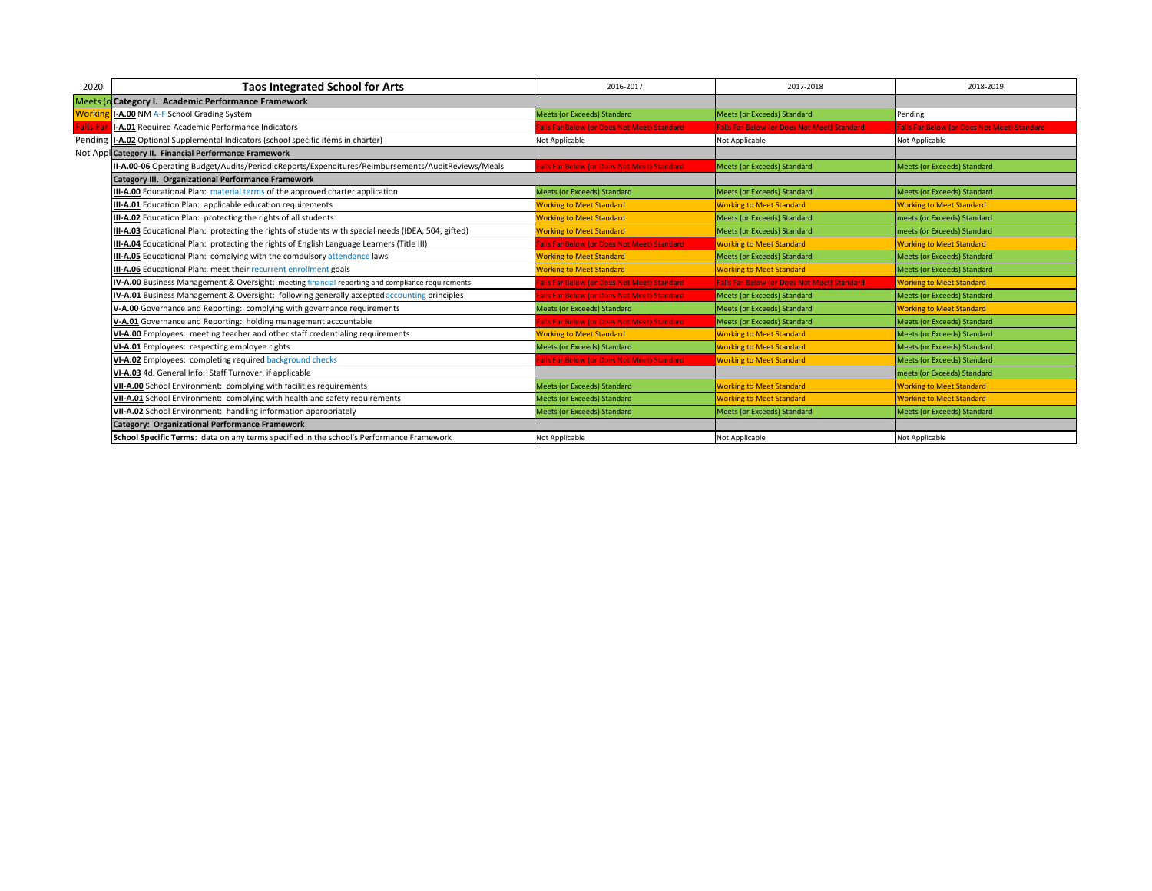| 2020             | <b>Taos Integrated School for Arts</b>                                                              | 2016-2017                                  | 2017-2018                                          | 2018-2019                                          |
|------------------|-----------------------------------------------------------------------------------------------------|--------------------------------------------|----------------------------------------------------|----------------------------------------------------|
|                  | Meets (o Category I. Academic Performance Framework                                                 |                                            |                                                    |                                                    |
| Workin           | I-A.00 NM A-F School Grading System                                                                 | <b>Meets (or Exceeds) Standard</b>         | <b>Meets (or Exceeds) Standard</b>                 | Pending                                            |
| <b>Falls Fal</b> | I-A.01 Required Academic Performance Indicators                                                     | alls Far Below (or Does Not Meet) Standard | <b>Falls Far Below (or Does Not Meet) Standard</b> | <b>Falls Far Below (or Does Not Meet) Standard</b> |
|                  | Pending   I-A.02 Optional Supplemental Indicators (school specific items in charter)                | Not Applicable                             | Not Applicable                                     | Not Applicable                                     |
|                  | Not Appl Category II. Financial Performance Framework                                               |                                            |                                                    |                                                    |
|                  | II-A.00-06 Operating Budget/Audits/PeriodicReports/Expenditures/Reimbursements/AuditReviews/Meals   | alls Far Below (or Does Not Meet) Standard | <b>Meets (or Exceeds) Standard</b>                 | Meets (or Exceeds) Standard                        |
|                  | <b>Category III. Organizational Performance Framework</b>                                           |                                            |                                                    |                                                    |
|                  | III-A.00 Educational Plan: material terms of the approved charter application                       | <b>Meets (or Exceeds) Standard</b>         | Meets (or Exceeds) Standard                        | Meets (or Exceeds) Standard                        |
|                  | III-A.01 Education Plan: applicable education requirements                                          | <b>Working to Meet Standard</b>            | <b>Working to Meet Standard</b>                    | <b>Working to Meet Standard</b>                    |
|                  | III-A.02 Education Plan: protecting the rights of all students                                      | <b>Working to Meet Standard</b>            | Meets (or Exceeds) Standard                        | meets (or Exceeds) Standard                        |
|                  | III-A.03 Educational Plan: protecting the rights of students with special needs (IDEA, 504, gifted) | <b>Working to Meet Standard</b>            | <b>Meets (or Exceeds) Standard</b>                 | meets (or Exceeds) Standard                        |
|                  | III-A.04 Educational Plan: protecting the rights of English Language Learners (Title III)           | alls Far Below (or Does Not Meet) Standard | <b>Working to Meet Standard</b>                    | <b>Working to Meet Standard</b>                    |
|                  | <b>III-A.05</b> Educational Plan: complying with the compulsory attendance laws                     | <b>Working to Meet Standard</b>            | Meets (or Exceeds) Standard                        | Meets (or Exceeds) Standard                        |
|                  | III-A.06 Educational Plan: meet their recurrent enrollment goals                                    | <b>Working to Meet Standard</b>            | <b>Working to Meet Standard</b>                    | Meets (or Exceeds) Standard                        |
|                  | IV-A.00 Business Management & Oversight: meeting financial reporting and compliance requirements    | alls Far Below (or Does Not Meet) Standard | <b>Falls Far Below (or Does Not Meet) Standard</b> | <b>Working to Meet Standard</b>                    |
|                  | <b>IV-A.01</b> Business Management & Oversight: following generally accepted accounting principles  | alls Far Below (or Does Not Meet) Standard | Meets (or Exceeds) Standard                        | Meets (or Exceeds) Standard                        |
|                  | V-A.00 Governance and Reporting: complying with governance requirements                             | Meets (or Exceeds) Standard                | Meets (or Exceeds) Standard                        | <b>Working to Meet Standard</b>                    |
|                  | V-A.01 Governance and Reporting: holding management accountable                                     | alls Far Below (or Does Not Meet) Standard | <b>Meets (or Exceeds) Standard</b>                 | Meets (or Exceeds) Standard                        |
|                  | VI-A.00 Employees: meeting teacher and other staff credentialing requirements                       | <b>Working to Meet Standard</b>            | <b>Working to Meet Standard</b>                    | Meets (or Exceeds) Standard                        |
|                  | VI-A.01 Employees: respecting employee rights                                                       | <b>Meets (or Exceeds) Standard</b>         | <b>Working to Meet Standard</b>                    | Meets (or Exceeds) Standard                        |
|                  | VI-A.02 Employees: completing required background checks                                            | alls Far Below (or Does Not Meet) Standard | <b>Working to Meet Standard</b>                    | Meets (or Exceeds) Standard                        |
|                  | VI-A.03 4d. General Info: Staff Turnover, if applicable                                             |                                            |                                                    | meets (or Exceeds) Standard                        |
|                  | VII-A.00 School Environment: complying with facilities requirements                                 | Meets (or Exceeds) Standard                | <b>Working to Meet Standard</b>                    | <b>Working to Meet Standard</b>                    |
|                  | VII-A.01 School Environment: complying with health and safety requirements                          | Meets (or Exceeds) Standard                | <b>Working to Meet Standard</b>                    | <b>Working to Meet Standard</b>                    |
|                  | VII-A.02 School Environment: handling information appropriately                                     | <b>Meets (or Exceeds) Standard</b>         | <b>Meets (or Exceeds) Standard</b>                 | Meets (or Exceeds) Standard                        |
|                  | <b>Category: Organizational Performance Framework</b>                                               |                                            |                                                    |                                                    |
|                  | School Specific Terms: data on any terms specified in the school's Performance Framework            | Not Applicable                             | Not Applicable                                     | Not Applicable                                     |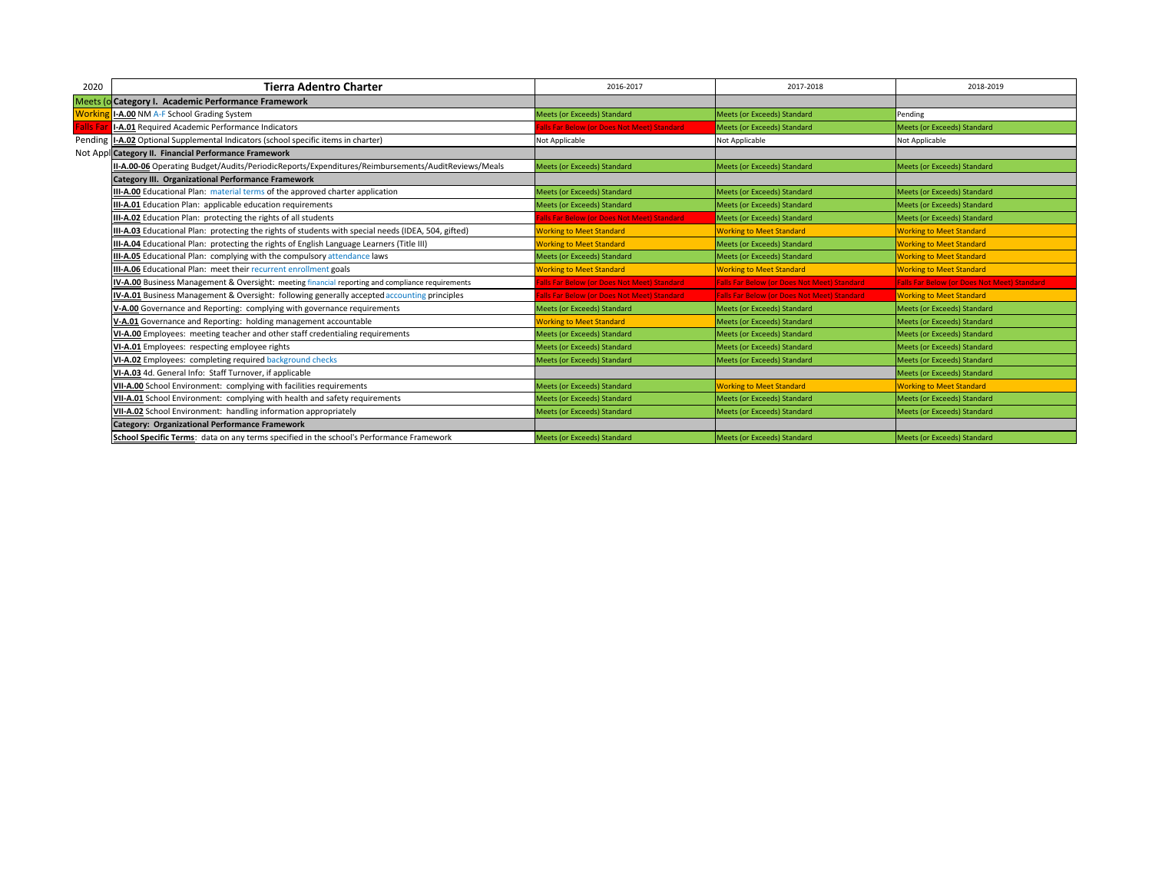| 2020             | <b>Tierra Adentro Charter</b>                                                                       | 2016-2017                                  | 2017-2018                                          | 2018-2019                                          |
|------------------|-----------------------------------------------------------------------------------------------------|--------------------------------------------|----------------------------------------------------|----------------------------------------------------|
|                  | Meets (o Category I. Academic Performance Framework                                                 |                                            |                                                    |                                                    |
| <b>Workir</b>    | I-A.00 NM A-F School Grading System                                                                 | <b>Meets (or Exceeds) Standard</b>         | Meets (or Exceeds) Standard                        | Pending                                            |
| <b>Falls Far</b> | I-A.01 Required Academic Performance Indicators                                                     | alls Far Below (or Does Not Meet) Standard | <b>Meets (or Exceeds) Standard</b>                 | <b>Meets (or Exceeds) Standard</b>                 |
|                  | Pending   I-A.02 Optional Supplemental Indicators (school specific items in charter)                | Not Applicable                             | Not Applicable                                     | Not Applicable                                     |
|                  | Not Appl Category II. Financial Performance Framework                                               |                                            |                                                    |                                                    |
|                  | II-A.00-06 Operating Budget/Audits/PeriodicReports/Expenditures/Reimbursements/AuditReviews/Meals   | <b>Meets (or Exceeds) Standard</b>         | <b>Meets (or Exceeds) Standard</b>                 | <b>Meets (or Exceeds) Standard</b>                 |
|                  | Category III. Organizational Performance Framework                                                  |                                            |                                                    |                                                    |
|                  | III-A.00 Educational Plan: material terms of the approved charter application                       | Meets (or Exceeds) Standard                | Meets (or Exceeds) Standard                        | Meets (or Exceeds) Standard                        |
|                  | III-A.01 Education Plan: applicable education requirements                                          | <b>Meets (or Exceeds) Standard</b>         | Meets (or Exceeds) Standard                        | Meets (or Exceeds) Standard                        |
|                  | III-A.02 Education Plan: protecting the rights of all students                                      | alls Far Below (or Does Not Meet) Standard | Meets (or Exceeds) Standard                        | Meets (or Exceeds) Standard                        |
|                  | III-A.03 Educational Plan: protecting the rights of students with special needs (IDEA, 504, gifted) | <b>Working to Meet Standard</b>            | <b>Working to Meet Standard</b>                    | <b>Working to Meet Standard</b>                    |
|                  | III-A.04 Educational Plan: protecting the rights of English Language Learners (Title III)           | <b>Working to Meet Standard</b>            | Meets (or Exceeds) Standard                        | <b>Working to Meet Standard</b>                    |
|                  | III-A.05 Educational Plan: complying with the compulsory attendance laws                            | Meets (or Exceeds) Standard                | Meets (or Exceeds) Standard                        | <b>Working to Meet Standard</b>                    |
|                  | III-A.06 Educational Plan: meet their recurrent enrollment goals                                    | <b>Norking to Meet Standard</b>            | <b>Working to Meet Standard</b>                    | <b>Working to Meet Standard</b>                    |
|                  | IV-A.00 Business Management & Oversight: meeting financial reporting and compliance requirements    | alls Far Below (or Does Not Meet) Standard | <b>Falls Far Below (or Does Not Meet) Standard</b> | <b>Falls Far Below (or Does Not Meet) Standard</b> |
|                  | IV-A.01 Business Management & Oversight: following generally accepted accounting principles         | alls Far Below (or Does Not Meet) Standard | <b>Falls Far Below (or Does Not Meet) Standard</b> | <b>Working to Meet Standard</b>                    |
|                  | V-A.00 Governance and Reporting: complying with governance requirements                             | <b>Meets (or Exceeds) Standard</b>         | Meets (or Exceeds) Standard                        | Meets (or Exceeds) Standard                        |
|                  | V-A.01 Governance and Reporting: holding management accountable                                     | <b>Working to Meet Standard</b>            | Meets (or Exceeds) Standard                        | Meets (or Exceeds) Standard                        |
|                  | VI-A.00 Employees: meeting teacher and other staff credentialing requirements                       | Meets (or Exceeds) Standard                | Meets (or Exceeds) Standard                        | Meets (or Exceeds) Standard                        |
|                  | VI-A.01 Employees: respecting employee rights                                                       | <b>Meets (or Exceeds) Standard</b>         | Meets (or Exceeds) Standard                        | <b>Meets (or Exceeds) Standard</b>                 |
|                  | VI-A.02 Employees: completing required background checks                                            | Meets (or Exceeds) Standard                | Meets (or Exceeds) Standard                        | Meets (or Exceeds) Standard                        |
|                  | VI-A.03 4d. General Info: Staff Turnover, if applicable                                             |                                            |                                                    | Meets (or Exceeds) Standard                        |
|                  | VII-A.00 School Environment: complying with facilities requirements                                 | <b>Meets (or Exceeds) Standard</b>         | <b>Working to Meet Standard</b>                    | <b>Working to Meet Standard</b>                    |
|                  | VII-A.01 School Environment: complying with health and safety requirements                          | <b>Meets (or Exceeds) Standard</b>         | Meets (or Exceeds) Standard                        | Meets (or Exceeds) Standard                        |
|                  | VII-A.02 School Environment: handling information appropriately                                     | <b>Meets (or Exceeds) Standard</b>         | Meets (or Exceeds) Standard                        | Meets (or Exceeds) Standard                        |
|                  | Category: Organizational Performance Framework                                                      |                                            |                                                    |                                                    |
|                  | School Specific Terms: data on any terms specified in the school's Performance Framework            | <b>Meets (or Exceeds) Standard</b>         | Meets (or Exceeds) Standard                        | Meets (or Exceeds) Standard                        |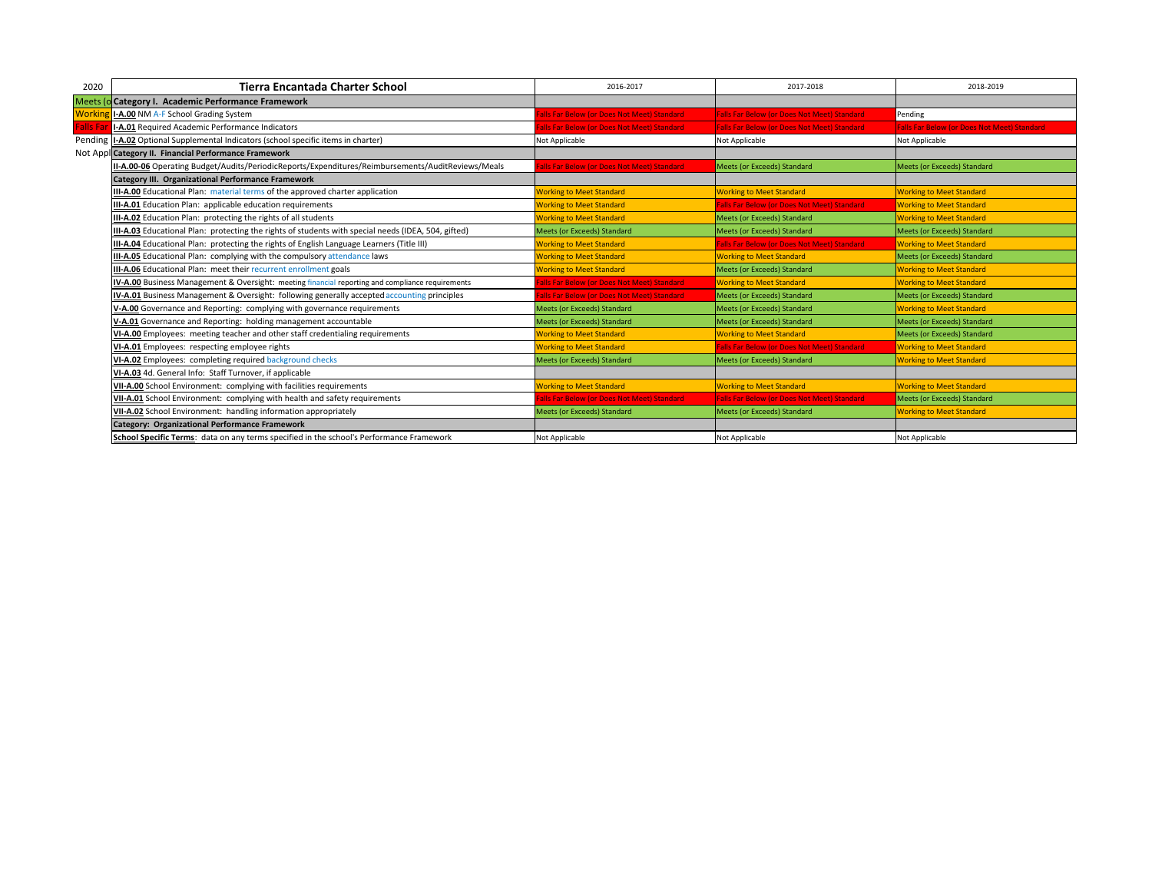| 2020            | Tierra Encantada Charter School                                                                     | 2016-2017                                  | 2017-2018                                          | 2018-2019                                          |
|-----------------|-----------------------------------------------------------------------------------------------------|--------------------------------------------|----------------------------------------------------|----------------------------------------------------|
|                 | Meets (o Category I. Academic Performance Framework                                                 |                                            |                                                    |                                                    |
| Workin          | I-A.00 NM A-F School Grading System                                                                 | alls Far Below (or Does Not Meet) Standard | <b>Falls Far Below (or Does Not Meet) Standard</b> | Pending                                            |
| <b>Falls Fa</b> | I-A.01 Required Academic Performance Indicators                                                     | alls Far Below (or Does Not Meet) Standard | <b>Falls Far Below (or Does Not Meet) Standard</b> | <b>Falls Far Below (or Does Not Meet) Standard</b> |
|                 | Pending   I-A.02 Optional Supplemental Indicators (school specific items in charter)                | Not Applicable                             | Not Applicable                                     | Not Applicable                                     |
|                 | Not Appl Category II. Financial Performance Framework                                               |                                            |                                                    |                                                    |
|                 | II-A.00-06 Operating Budget/Audits/PeriodicReports/Expenditures/Reimbursements/AuditReviews/Meals   | alls Far Below (or Does Not Meet) Standard | Meets (or Exceeds) Standard                        | Meets (or Exceeds) Standard                        |
|                 | <b>Category III. Organizational Performance Framework</b>                                           |                                            |                                                    |                                                    |
|                 | III-A.00 Educational Plan: material terms of the approved charter application                       | <b>Working to Meet Standard</b>            | <b>Working to Meet Standard</b>                    | <b>Working to Meet Standard</b>                    |
|                 | III-A.01 Education Plan: applicable education requirements                                          | <b>Working to Meet Standard</b>            | <b>Falls Far Below (or Does Not Meet) Standard</b> | <b>Working to Meet Standard</b>                    |
|                 | III-A.02 Education Plan: protecting the rights of all students                                      | <b>Working to Meet Standard</b>            | Meets (or Exceeds) Standard                        | <b>Working to Meet Standard</b>                    |
|                 | III-A.03 Educational Plan: protecting the rights of students with special needs (IDEA, 504, gifted) | Meets (or Exceeds) Standard                | Meets (or Exceeds) Standard                        | Meets (or Exceeds) Standard                        |
|                 | III-A.04 Educational Plan: protecting the rights of English Language Learners (Title III)           | <b>Working to Meet Standard</b>            | <b>Falls Far Below (or Does Not Meet) Standard</b> | <b>Working to Meet Standard</b>                    |
|                 | <b>III-A.05</b> Educational Plan: complying with the compulsory attendance laws                     | <b>Working to Meet Standard</b>            | <b>Working to Meet Standard</b>                    | Meets (or Exceeds) Standard                        |
|                 | <b>III-A.06</b> Educational Plan: meet their recurrent enrollment goals                             | <b>Working to Meet Standard</b>            | <b>Meets (or Exceeds) Standard</b>                 | <b>Working to Meet Standard</b>                    |
|                 | IV-A.00 Business Management & Oversight: meeting financial reporting and compliance requirements    | alls Far Below (or Does Not Meet) Standard | <b>Working to Meet Standard</b>                    | <b>Working to Meet Standard</b>                    |
|                 | IV-A.01 Business Management & Oversight: following generally accepted accounting principles         | alls Far Below (or Does Not Meet) Standard | Meets (or Exceeds) Standard                        | Meets (or Exceeds) Standard                        |
|                 | V-A.00 Governance and Reporting: complying with governance requirements                             | <b>Meets (or Exceeds) Standard</b>         | Meets (or Exceeds) Standard                        | <b>Working to Meet Standard</b>                    |
|                 | V-A.01 Governance and Reporting: holding management accountable                                     | <b>Meets (or Exceeds) Standard</b>         | <b>Meets (or Exceeds) Standard</b>                 | Meets (or Exceeds) Standard                        |
|                 | VI-A.00 Employees: meeting teacher and other staff credentialing requirements                       | <b>Working to Meet Standard</b>            | <b>Working to Meet Standard</b>                    | Meets (or Exceeds) Standard                        |
|                 | VI-A.01 Employees: respecting employee rights                                                       | <b>Norking to Meet Standard</b>            | <b>Falls Far Below (or Does Not Meet) Standard</b> | <b>Working to Meet Standard</b>                    |
|                 | VI-A.02 Employees: completing required background checks                                            | <b>Meets (or Exceeds) Standard</b>         | Meets (or Exceeds) Standard                        | <b>Working to Meet Standard</b>                    |
|                 | VI-A.03 4d. General Info: Staff Turnover, if applicable                                             |                                            |                                                    |                                                    |
|                 | VII-A.00 School Environment: complying with facilities requirements                                 | <b>Norking to Meet Standard</b>            | <b>Working to Meet Standard</b>                    | <b>Working to Meet Standard</b>                    |
|                 | VII-A.01 School Environment: complying with health and safety requirements                          | alls Far Below (or Does Not Meet) Standard | <b>Falls Far Below (or Does Not Meet) Standard</b> | Meets (or Exceeds) Standard                        |
|                 | VII-A.02 School Environment: handling information appropriately                                     | Meets (or Exceeds) Standard                | Meets (or Exceeds) Standard                        | <b>Working to Meet Standard</b>                    |
|                 | <b>Category: Organizational Performance Framework</b>                                               |                                            |                                                    |                                                    |
|                 | School Specific Terms: data on any terms specified in the school's Performance Framework            | Not Applicable                             | Not Applicable                                     | Not Applicable                                     |